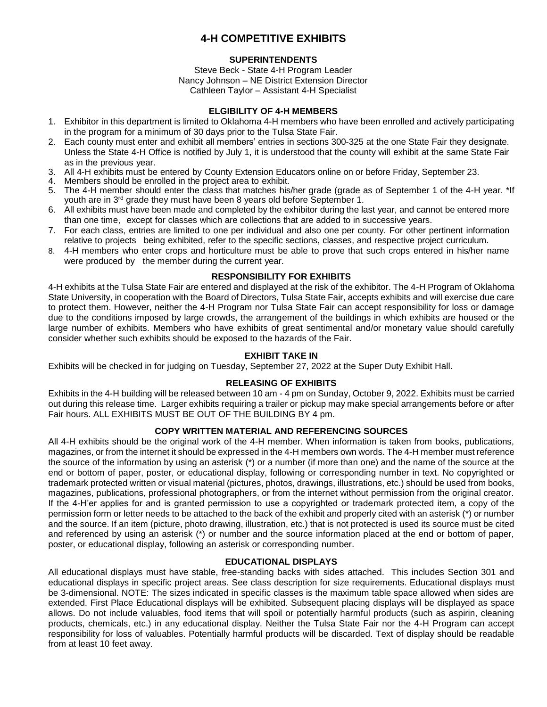# **4-H COMPETITIVE EXHIBITS**

# **SUPERINTENDENTS**

Steve Beck - State 4-H Program Leader Nancy Johnson – NE District Extension Director Cathleen Taylor – Assistant 4-H Specialist

# **ELGIBILITY OF 4-H MEMBERS**

- 1. Exhibitor in this department is limited to Oklahoma 4-H members who have been enrolled and actively participating in the program for a minimum of 30 days prior to the Tulsa State Fair.
- 2. Each county must enter and exhibit all members' entries in sections 300-325 at the one State Fair they designate. Unless the State 4-H Office is notified by July 1, it is understood that the county will exhibit at the same State Fair as in the previous year.
- 3. All 4-H exhibits must be entered by County Extension Educators online on or before Friday, September 23.
- 4. Members should be enrolled in the project area to exhibit.
- 5. The 4-H member should enter the class that matches his/her grade (grade as of September 1 of the 4-H year. \*If youth are in 3rd grade they must have been 8 years old before September 1.
- 6. All exhibits must have been made and completed by the exhibitor during the last year, and cannot be entered more than one time, except for classes which are collections that are added to in successive years.
- 7. For each class, entries are limited to one per individual and also one per county. For other pertinent information relative to projects being exhibited, refer to the specific sections, classes, and respective project curriculum.
- 8. 4-H members who enter crops and horticulture must be able to prove that such crops entered in his/her name were produced by the member during the current year.

# **RESPONSIBILITY FOR EXHIBITS**

4-H exhibits at the Tulsa State Fair are entered and displayed at the risk of the exhibitor. The 4-H Program of Oklahoma State University, in cooperation with the Board of Directors, Tulsa State Fair, accepts exhibits and will exercise due care to protect them. However, neither the 4-H Program nor Tulsa State Fair can accept responsibility for loss or damage due to the conditions imposed by large crowds, the arrangement of the buildings in which exhibits are housed or the large number of exhibits. Members who have exhibits of great sentimental and/or monetary value should carefully consider whether such exhibits should be exposed to the hazards of the Fair.

# **EXHIBIT TAKE IN**

Exhibits will be checked in for judging on Tuesday, September 27, 2022 at the Super Duty Exhibit Hall.

# **RELEASING OF EXHIBITS**

Exhibits in the 4-H building will be released between 10 am - 4 pm on Sunday, October 9, 2022. Exhibits must be carried out during this release time. Larger exhibits requiring a trailer or pickup may make special arrangements before or after Fair hours. ALL EXHIBITS MUST BE OUT OF THE BUILDING BY 4 pm.

# **COPY WRITTEN MATERIAL AND REFERENCING SOURCES**

All 4-H exhibits should be the original work of the 4-H member. When information is taken from books, publications, magazines, or from the internet it should be expressed in the 4-H members own words. The 4-H member must reference the source of the information by using an asterisk (\*) or a number (if more than one) and the name of the source at the end or bottom of paper, poster, or educational display, following or corresponding number in text. No copyrighted or trademark protected written or visual material (pictures, photos, drawings, illustrations, etc.) should be used from books, magazines, publications, professional photographers, or from the internet without permission from the original creator. If the 4-H'er applies for and is granted permission to use a copyrighted or trademark protected item, a copy of the permission form or letter needs to be attached to the back of the exhibit and properly cited with an asterisk (\*) or number and the source. If an item (picture, photo drawing, illustration, etc.) that is not protected is used its source must be cited and referenced by using an asterisk (\*) or number and the source information placed at the end or bottom of paper, poster, or educational display, following an asterisk or corresponding number.

# **EDUCATIONAL DISPLAYS**

All educational displays must have stable, free-standing backs with sides attached. This includes Section 301 and educational displays in specific project areas. See class description for size requirements. Educational displays must be 3-dimensional. NOTE: The sizes indicated in specific classes is the maximum table space allowed when sides are extended. First Place Educational displays will be exhibited. Subsequent placing displays will be displayed as space allows. Do not include valuables, food items that will spoil or potentially harmful products (such as aspirin, cleaning products, chemicals, etc.) in any educational display. Neither the Tulsa State Fair nor the 4-H Program can accept responsibility for loss of valuables. Potentially harmful products will be discarded. Text of display should be readable from at least 10 feet away.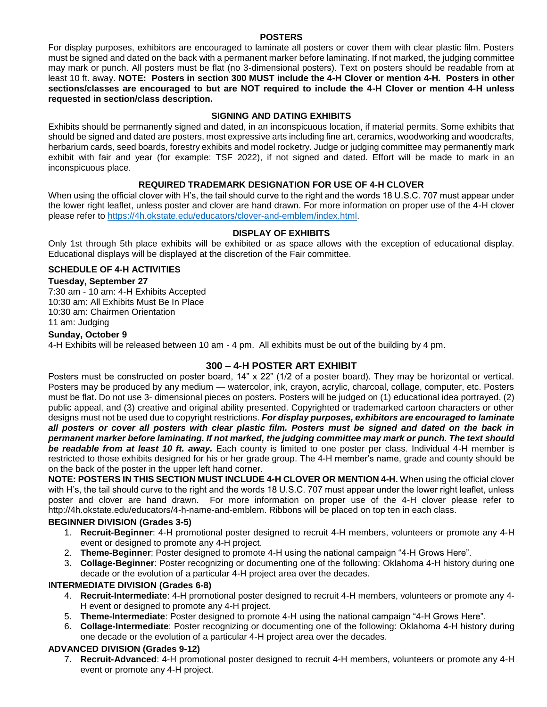#### **POSTERS**

For display purposes, exhibitors are encouraged to laminate all posters or cover them with clear plastic film. Posters must be signed and dated on the back with a permanent marker before laminating. If not marked, the judging committee may mark or punch. All posters must be flat (no 3-dimensional posters). Text on posters should be readable from at least 10 ft. away. **NOTE: Posters in section 300 MUST include the 4-H Clover or mention 4-H. Posters in other sections/classes are encouraged to but are NOT required to include the 4-H Clover or mention 4-H unless requested in section/class description.**

#### **SIGNING AND DATING EXHIBITS**

Exhibits should be permanently signed and dated, in an inconspicuous location, if material permits. Some exhibits that should be signed and dated are posters, most expressive arts including fine art, ceramics, woodworking and woodcrafts, herbarium cards, seed boards, forestry exhibits and model rocketry. Judge or judging committee may permanently mark exhibit with fair and year (for example: TSF 2022), if not signed and dated. Effort will be made to mark in an inconspicuous place.

#### **REQUIRED TRADEMARK DESIGNATION FOR USE OF 4-H CLOVER**

When using the official clover with H's, the tail should curve to the right and the words 18 U.S.C. 707 must appear under the lower right leaflet, unless poster and clover are hand drawn. For more information on proper use of the 4-H clover please refer to [https://4h.okstate.edu/educators/clover-and-emblem/index.html.](https://4h.okstate.edu/educators/clover-and-emblem/index.html)

#### **DISPLAY OF EXHIBITS**

Only 1st through 5th place exhibits will be exhibited or as space allows with the exception of educational display. Educational displays will be displayed at the discretion of the Fair committee.

#### **SCHEDULE OF 4-H ACTIVITIES**

#### **Tuesday, September 27**

7:30 am - 10 am: 4-H Exhibits Accepted 10:30 am: All Exhibits Must Be In Place 10:30 am: Chairmen Orientation 11 am: Judging **Sunday, October 9**

4-H Exhibits will be released between 10 am - 4 pm. All exhibits must be out of the building by 4 pm.

# **300 – 4-H POSTER ART EXHIBIT**

Posters must be constructed on poster board, 14" x 22" (1/2 of a poster board). They may be horizontal or vertical. Posters may be produced by any medium — watercolor, ink, crayon, acrylic, charcoal, collage, computer, etc. Posters must be flat. Do not use 3- dimensional pieces on posters. Posters will be judged on (1) educational idea portrayed, (2) public appeal, and (3) creative and original ability presented. Copyrighted or trademarked cartoon characters or other designs must not be used due to copyright restrictions. *For display purposes, exhibitors are encouraged to laminate all posters or cover all posters with clear plastic film. Posters must be signed and dated on the back in permanent marker before laminating. If not marked, the judging committee may mark or punch. The text should be readable from at least 10 ft. away.* Each county is limited to one poster per class. Individual 4-H member is restricted to those exhibits designed for his or her grade group. The 4-H member's name, grade and county should be on the back of the poster in the upper left hand corner.

**NOTE: POSTERS IN THIS SECTION MUST INCLUDE 4-H CLOVER OR MENTION 4-H.** When using the official clover with H's, the tail should curve to the right and the words 18 U.S.C. 707 must appear under the lower right leaflet, unless poster and clover are hand drawn. For more information on proper use of the 4-H clover please refer to http://4h.okstate.edu/educators/4-h-name-and-emblem. Ribbons will be placed on top ten in each class.

#### **BEGINNER DIVISION (Grades 3-5)**

- 1. **Recruit-Beginner**: 4-H promotional poster designed to recruit 4-H members, volunteers or promote any 4-H event or designed to promote any 4-H project.
- 2. **Theme-Beginner**: Poster designed to promote 4-H using the national campaign "4-H Grows Here".
- 3. **Collage-Beginner**: Poster recognizing or documenting one of the following: Oklahoma 4-H history during one decade or the evolution of a particular 4-H project area over the decades.

#### I**NTERMEDIATE DIVISION (Grades 6-8)**

- 4. **Recruit-Intermediate**: 4-H promotional poster designed to recruit 4-H members, volunteers or promote any 4- H event or designed to promote any 4-H project.
- 5. **Theme-Intermediate**: Poster designed to promote 4-H using the national campaign "4-H Grows Here".
- 6. **Collage-Intermediate**: Poster recognizing or documenting one of the following: Oklahoma 4-H history during one decade or the evolution of a particular 4-H project area over the decades.

#### **ADVANCED DIVISION (Grades 9-12)**

7. **Recruit-Advanced**: 4-H promotional poster designed to recruit 4-H members, volunteers or promote any 4-H event or promote any 4-H project.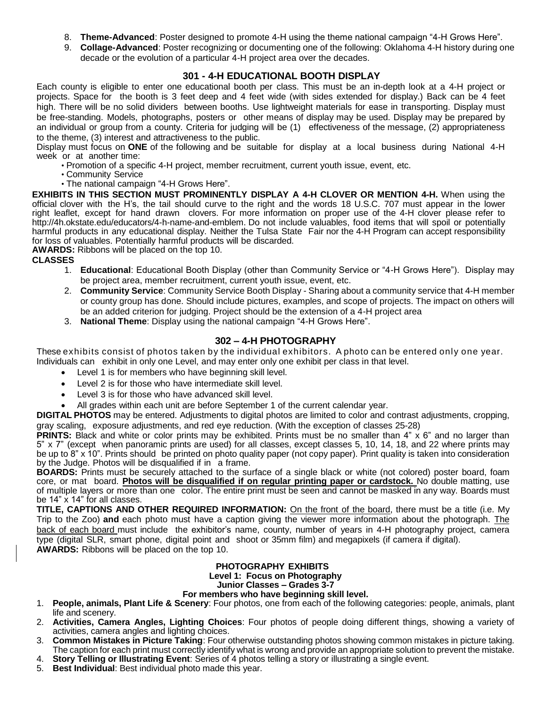- 8. **Theme-Advanced**: Poster designed to promote 4-H using the theme national campaign "4-H Grows Here".
- 9. **Collage-Advanced**: Poster recognizing or documenting one of the following: Oklahoma 4-H history during one decade or the evolution of a particular 4-H project area over the decades.

# **301 - 4-H EDUCATIONAL BOOTH DISPLAY**

Each county is eligible to enter one educational booth per class. This must be an in-depth look at a 4-H project or projects. Space for the booth is 3 feet deep and 4 feet wide (with sides extended for display.) Back can be 4 feet high. There will be no solid dividers between booths. Use lightweight materials for ease in transporting. Display must be free-standing. Models, photographs, posters or other means of display may be used. Display may be prepared by an individual or group from a county. Criteria for judging will be (1) effectiveness of the message, (2) appropriateness to the theme, (3) interest and attractiveness to the public.

Display must focus on **ONE** of the following and be suitable for display at a local business during National 4-H week or at another time:

• Promotion of a specific 4-H project, member recruitment, current youth issue, event, etc.

- Community Service
- The national campaign "4-H Grows Here".

**EXHIBITS IN THIS SECTION MUST PROMINENTLY DISPLAY A 4-H CLOVER OR MENTION 4-H.** When using the official clover with the H's, the tail should curve to the right and the words 18 U.S.C. 707 must appear in the lower right leaflet, except for hand drawn clovers. For more information on proper use of the 4-H clover please refer to [http://4h.okstate.edu/educators/4-h-name-and-emblem.](http://4h.okstate.edu/educators/4-h-name-and-emblem) Do not include valuables, food items that will spoil or potentially harmful products in any educational display. Neither the Tulsa State Fair nor the 4-H Program can accept responsibility for loss of valuables. Potentially harmful products will be discarded.

**AWARDS:** Ribbons will be placed on the top 10.

# **CLASSES**

- 1. **Educational**: Educational Booth Display (other than Community Service or "4-H Grows Here"). Display may be project area, member recruitment, current youth issue, event, etc.
- 2. **Community Service**: Community Service Booth Display Sharing about a community service that 4-H member or county group has done. Should include pictures, examples, and scope of projects. The impact on others will be an added criterion for judging. Project should be the extension of a 4-H project area
- 3. **National Theme**: Display using the national campaign "4-H Grows Here".

# **302 – 4-H PHOTOGRAPHY**

These exhibits consist of photos taken by the individual exhibitors. A photo can be entered only one year. Individuals can exhibit in only one Level, and may enter only one exhibit per class in that level.

- Level 1 is for members who have beginning skill level.
- Level 2 is for those who have intermediate skill level.
- Level 3 is for those who have advanced skill level.
- All grades within each unit are before September 1 of the current calendar year.

**DIGITAL PHOTOS** may be entered. Adjustments to digital photos are limited to color and contrast adjustments, cropping, gray scaling, exposure adjustments, and red eye reduction. (With the exception of classes 25-28)

**PRINTS:** Black and white or color prints may be exhibited. Prints must be no smaller than 4" x 6" and no larger than 5" x 7" (except when panoramic prints are used) for all classes, except classes 5, 10, 14, 18, and 22 where prints may be up to 8" x 10". Prints should be printed on photo quality paper (not copy paper). Print quality is taken into consideration by the Judge. Photos will be disqualified if in a frame.

**BOARDS:** Prints must be securely attached to the surface of a single black or white (not colored) poster board, foam core, or mat board. **Photos will be disqualified if on regular printing paper or cardstock.** No double matting, use of multiple layers or more than one color. The entire print must be seen and cannot be masked in any way. Boards must be  $14" \times 14"$  for all classes.

**TITLE, CAPTIONS AND OTHER REQUIRED INFORMATION:** On the front of the board, there must be a title (i.e. My Trip to the Zoo) **and** each photo must have a caption giving the viewer more information about the photograph. The back of each board must include the exhibitor's name, county, number of years in 4-H photography project, camera type (digital SLR, smart phone, digital point and shoot or 35mm film) and megapixels (if camera if digital). **AWARDS:** Ribbons will be placed on the top 10.

#### **PHOTOGRAPHY EXHIBITS Level 1: Focus on Photography Junior Classes – Grades 3-7 For members who have beginning skill level.**

- 1. **People, animals, Plant Life & Scenery**: Four photos, one from each of the following categories: people, animals, plant life and scenery.
- 2. **Activities, Camera Angles, Lighting Choices**: Four photos of people doing different things, showing a variety of activities, camera angles and lighting choices.
- 3. **Common Mistakes in Picture Taking**: Four otherwise outstanding photos showing common mistakes in picture taking. The caption for each print must correctly identify what is wrong and provide an appropriate solution to prevent the mistake.
- 4. **Story Telling or Illustrating Event**: Series of 4 photos telling a story or illustrating a single event.
- 5. **Best Individual**: Best individual photo made this year.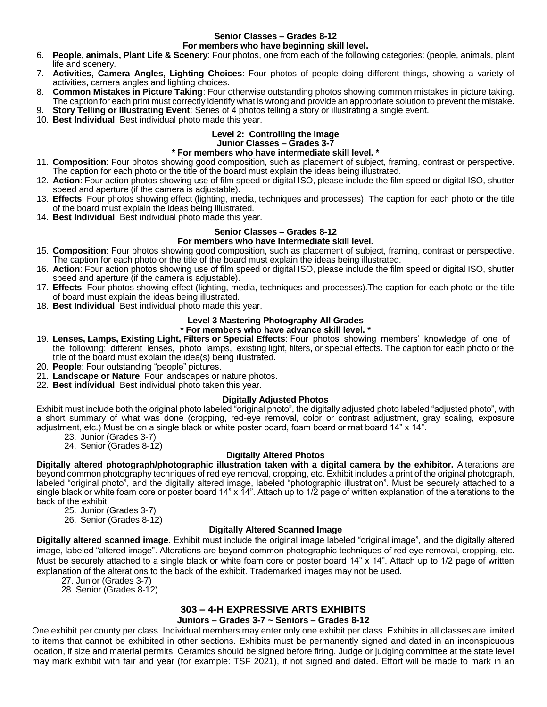# **Senior Classes – Grades 8-12**

#### **For members who have beginning skill level.**

- 6. **People, animals, Plant Life & Scenery**: Four photos, one from each of the following categories: (people, animals, plant life and scenery.
- 7. **Activities, Camera Angles, Lighting Choices**: Four photos of people doing different things, showing a variety of activities, camera angles and lighting choices.
- 8. **Common Mistakes in Picture Taking**: Four otherwise outstanding photos showing common mistakes in picture taking. The caption for each print must correctly identify what is wrong and provide an appropriate solution to prevent the mistake.
- 9. **Story Telling or Illustrating Event**: Series of 4 photos telling a story or illustrating a single event.
- 10. **Best Individual**: Best individual photo made this year.

# **Level 2: Controlling the Image**

# **Junior Classes – Grades 3-7**

- **\* For members who have intermediate skill level. \*** 11. **Composition**: Four photos showing good composition, such as placement of subject, framing, contrast or perspective. The caption for each photo or the title of the board must explain the ideas being illustrated.
- 12. **Action**: Four action photos showing use of film speed or digital ISO, please include the film speed or digital ISO, shutter speed and aperture (if the camera is adjustable).
- 13. **Effects**: Four photos showing effect (lighting, media, techniques and processes). The caption for each photo or the title of the board must explain the ideas being illustrated.
- 14. **Best Individual**: Best individual photo made this year.

#### **Senior Classes – Grades 8-12**

# **For members who have Intermediate skill level.**

- 15. **Composition**: Four photos showing good composition, such as placement of subject, framing, contrast or perspective. The caption for each photo or the title of the board must explain the ideas being illustrated.
- 16. **Action**: Four action photos showing use of film speed or digital ISO, please include the film speed or digital ISO, shutter speed and aperture (if the camera is adjustable).
- 17. **Effects**: Four photos showing effect (lighting, media, techniques and processes).The caption for each photo or the title of board must explain the ideas being illustrated.
- 18. **Best Individual**: Best individual photo made this year.

# **Level 3 Mastering Photography All Grades**

# **\* For members who have advance skill level. \***

19. **Lenses, Lamps, Existing Light, Filters or Special Effects**: Four photos showing members' knowledge of one of the following: different lenses, photo lamps, existing light, filters, or special effects. The caption for each photo or the title of the board must explain the idea(s) being illustrated.

20. **People**: Four outstanding "people" pictures.

- 21. **Landscape or Nature**: Four landscapes or nature photos.
- 22. **Best individual**: Best individual photo taken this year.

# **Digitally Adjusted Photos**

Exhibit must include both the original photo labeled "original photo", the digitally adjusted photo labeled "adjusted photo", with a short summary of what was done (cropping, red-eye removal, color or contrast adjustment, gray scaling, exposure adjustment, etc.) Must be on a single black or white poster board, foam board or mat board 14" x 14".

- 23. Junior (Grades 3-7)
- 24. Senior (Grades 8-12)

# **Digitally Altered Photos**

**Digitally altered photograph/photographic illustration taken with a digital camera by the exhibitor.** Alterations are beyond common photography techniques of red eye removal, cropping, etc. Exhibit includes a print of the original photograph, labeled "original photo", and the digitally altered image, labeled "photographic illustration". Must be securely attached to a single black or white foam core or poster board 14" x 14". Attach up to 1/2 page of written explanation of the alterations to the back of the exhibit.

- 25. Junior (Grades 3-7)
- 26. Senior (Grades 8-12)

#### **Digitally Altered Scanned Image**

**Digitally altered scanned image.** Exhibit must include the original image labeled "original image", and the digitally altered image, labeled "altered image". Alterations are beyond common photographic techniques of red eye removal, cropping, etc. Must be securely attached to a single black or white foam core or poster board 14" x 14". Attach up to 1/2 page of written explanation of the alterations to the back of the exhibit. Trademarked images may not be used.

27. Junior (Grades 3-7)

28. Senior (Grades 8-12)

# **303 – 4-H EXPRESSIVE ARTS EXHIBITS**

# **Juniors – Grades 3-7 ~ Seniors – Grades 8-12**

One exhibit per county per class. Individual members may enter only one exhibit per class. Exhibits in all classes are limited to items that cannot be exhibited in other sections. Exhibits must be permanently signed and dated in an inconspicuous location, if size and material permits. Ceramics should be signed before firing. Judge or judging committee at the state level may mark exhibit with fair and year (for example: TSF 2021), if not signed and dated. Effort will be made to mark in an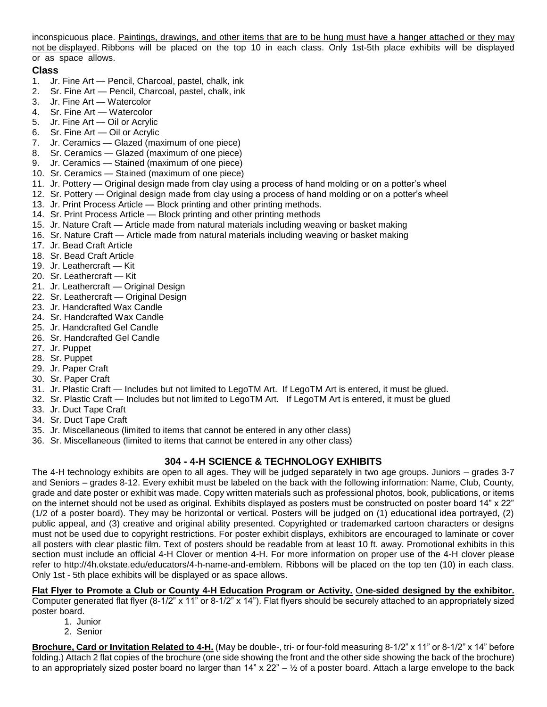inconspicuous place. Paintings, drawings, and other items that are to be hung must have a hanger attached or they may not be displayed. Ribbons will be placed on the top 10 in each class. Only 1st-5th place exhibits will be displayed or as space allows.

# **Class**

- 1. Jr. Fine Art Pencil, Charcoal, pastel, chalk, ink
- 2. Sr. Fine Art Pencil, Charcoal, pastel, chalk, ink
- 3. Jr. Fine Art Watercolor
- 4. Sr. Fine Art Watercolor
- 5. Jr. Fine Art Oil or Acrylic
- 6. Sr. Fine Art Oil or Acrylic
- 7. Jr. Ceramics Glazed (maximum of one piece)
- 8. Sr. Ceramics Glazed (maximum of one piece)
- 9. Jr. Ceramics Stained (maximum of one piece)
- 10. Sr. Ceramics Stained (maximum of one piece)
- 11. Jr. Pottery Original design made from clay using a process of hand molding or on a potter's wheel
- 12. Sr. Pottery Original design made from clay using a process of hand molding or on a potter's wheel
- 13. Jr. Print Process Article Block printing and other printing methods.
- 14. Sr. Print Process Article Block printing and other printing methods
- 15. Jr. Nature Craft Article made from natural materials including weaving or basket making
- 16. Sr. Nature Craft Article made from natural materials including weaving or basket making
- 17. Jr. Bead Craft Article
- 18. Sr. Bead Craft Article
- 19. Jr. Leathercraft Kit
- 20. Sr. Leathercraft Kit
- 21. Jr. Leathercraft Original Design
- 22. Sr. Leathercraft Original Design
- 23. Jr. Handcrafted Wax Candle
- 24. Sr. Handcrafted Wax Candle
- 25. Jr. Handcrafted Gel Candle
- 26. Sr. Handcrafted Gel Candle
- 27. Jr. Puppet
- 28. Sr. Puppet
- 29. Jr. Paper Craft
- 30. Sr. Paper Craft
- 31. Jr. Plastic Craft Includes but not limited to LegoTM Art. If LegoTM Art is entered, it must be glued.
- 32. Sr. Plastic Craft Includes but not limited to LegoTM Art. If LegoTM Art is entered, it must be glued
- 33. Jr. Duct Tape Craft
- 34. Sr. Duct Tape Craft
- 35. Jr. Miscellaneous (limited to items that cannot be entered in any other class)
- 36. Sr. Miscellaneous (limited to items that cannot be entered in any other class)

# **304 - 4-H SCIENCE & TECHNOLOGY EXHIBITS**

The 4-H technology exhibits are open to all ages. They will be judged separately in two age groups. Juniors – grades 3-7 and Seniors – grades 8-12. Every exhibit must be labeled on the back with the following information: Name, Club, County, grade and date poster or exhibit was made. Copy written materials such as professional photos, book, publications, or items on the internet should not be used as original. Exhibits displayed as posters must be constructed on poster board 14" x 22" (1/2 of a poster board). They may be horizontal or vertical. Posters will be judged on (1) educational idea portrayed, (2) public appeal, and (3) creative and original ability presented. Copyrighted or trademarked cartoon characters or designs must not be used due to copyright restrictions. For poster exhibit displays, exhibitors are encouraged to laminate or cover all posters with clear plastic film. Text of posters should be readable from at least 10 ft. away. Promotional exhibits in this section must include an official 4-H Clover or mention 4-H. For more information on proper use of the 4-H clover please refer to http://4h.okstate.edu/educators/4-h-name-and-emblem. Ribbons will be placed on the top ten (10) in each class. Only 1st - 5th place exhibits will be displayed or as space allows.

**Flat Flyer to Promote a Club or County 4-H Education Program or Activity.** O**ne-sided designed by the exhibitor.** Computer generated flat flyer (8-1/2" x 11" or 8-1/2" x 14"). Flat flyers should be securely attached to an appropriately sized poster board.

- 1. Junior
- 2. Senior

**Brochure, Card or Invitation Related to 4-H.** (May be double-, tri- or four-fold measuring 8-1/2" x 11" or 8-1/2" x 14" before folding.) Attach 2 flat copies of the brochure (one side showing the front and the other side showing the back of the brochure) to an appropriately sized poster board no larger than  $14$ " x  $22$ "  $-$  1/<sub>2</sub> of a poster board. Attach a large envelope to the back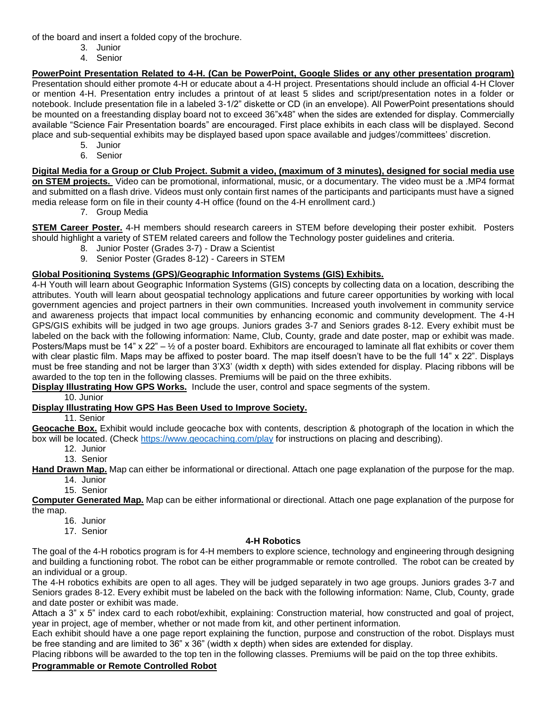of the board and insert a folded copy of the brochure.

- 3. Junior
- 4. Senior

**PowerPoint Presentation Related to 4-H. (Can be PowerPoint, Google Slides or any other presentation program)** Presentation should either promote 4-H or educate about a 4-H project. Presentations should include an official 4-H Clover or mention 4-H. Presentation entry includes a printout of at least 5 slides and script/presentation notes in a folder or notebook. Include presentation file in a labeled 3-1/2" diskette or CD (in an envelope). All PowerPoint presentations should be mounted on a freestanding display board not to exceed 36"x48" when the sides are extended for display. Commercially available "Science Fair Presentation boards" are encouraged. First place exhibits in each class will be displayed. Second place and sub-sequential exhibits may be displayed based upon space available and judges'/committees' discretion.

- 5. Junior
- 6. Senior

**Digital Media for a Group or Club Project. Submit a video, (maximum of 3 minutes), designed for social media use on STEM projects.** Video can be promotional, informational, music, or a documentary. The video must be a .MP4 format and submitted on a flash drive. Videos must only contain first names of the participants and participants must have a signed media release form on file in their county 4-H office (found on the 4-H enrollment card.)

7. Group Media

**STEM Career Poster.** 4-H members should research careers in STEM before developing their poster exhibit. Posters should highlight a variety of STEM related careers and follow the Technology poster guidelines and criteria.

- 8. Junior Poster (Grades 3-7) Draw a Scientist
- 9. Senior Poster (Grades 8-12) Careers in STEM

# **Global Positioning Systems (GPS)/Geographic Information Systems (GIS) Exhibits.**

4-H Youth will learn about Geographic Information Systems (GIS) concepts by collecting data on a location, describing the attributes. Youth will learn about geospatial technology applications and future career opportunities by working with local government agencies and project partners in their own communities. Increased youth involvement in community service and awareness projects that impact local communities by enhancing economic and community development. The 4-H GPS/GIS exhibits will be judged in two age groups. Juniors grades 3-7 and Seniors grades 8-12. Every exhibit must be labeled on the back with the following information: Name, Club, County, grade and date poster, map or exhibit was made. Posters/Maps must be 14" x 22"  $-$  1/2 of a poster board. Exhibitors are encouraged to laminate all flat exhibits or cover them with clear plastic film. Maps may be affixed to poster board. The map itself doesn't have to be the full 14" x 22". Displays must be free standing and not be larger than 3'X3' (width x depth) with sides extended for display. Placing ribbons will be awarded to the top ten in the following classes. Premiums will be paid on the three exhibits.

**Display Illustrating How GPS Works.** Include the user, control and space segments of the system.

10. Junior

# **Display Illustrating How GPS Has Been Used to Improve Society.**

11. Senior

**Geocache Box.** Exhibit would include geocache box with contents, description & photograph of the location in which the box will be located. (Check<https://www.geocaching.com/play> for instructions on placing and describing).

- 12. Junior
- 13. Senior

**Hand Drawn Map.** Map can either be informational or directional. Attach one page explanation of the purpose for the map.

- 14. Junior
- 15. Senior

**Computer Generated Map.** Map can be either informational or directional. Attach one page explanation of the purpose for the map.

- 16. Junior
- 17. Senior

# **4-H Robotics**

The goal of the 4-H robotics program is for 4-H members to explore science, technology and engineering through designing and building a functioning robot. The robot can be either programmable or remote controlled. The robot can be created by an individual or a group.

The 4-H robotics exhibits are open to all ages. They will be judged separately in two age groups. Juniors grades 3-7 and Seniors grades 8-12. Every exhibit must be labeled on the back with the following information: Name, Club, County, grade and date poster or exhibit was made.

Attach a 3" x 5" index card to each robot/exhibit, explaining: Construction material, how constructed and goal of project, year in project, age of member, whether or not made from kit, and other pertinent information.

Each exhibit should have a one page report explaining the function, purpose and construction of the robot. Displays must be free standing and are limited to 36" x 36" (width x depth) when sides are extended for display.

Placing ribbons will be awarded to the top ten in the following classes. Premiums will be paid on the top three exhibits.

# **Programmable or Remote Controlled Robot**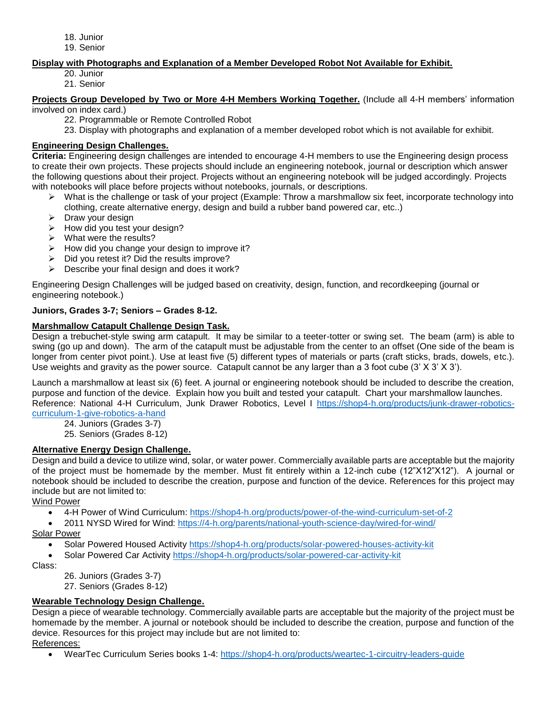18. Junior

19. Senior

# **Display with Photographs and Explanation of a Member Developed Robot Not Available for Exhibit.**

20. Junior 21. Senior

**Projects Group Developed by Two or More 4-H Members Working Together.** (Include all 4-H members' information involved on index card.)

22. Programmable or Remote Controlled Robot

23. Display with photographs and explanation of a member developed robot which is not available for exhibit.

# **Engineering Design Challenges.**

**Criteria:** Engineering design challenges are intended to encourage 4-H members to use the Engineering design process to create their own projects. These projects should include an engineering notebook, journal or description which answer the following questions about their project. Projects without an engineering notebook will be judged accordingly. Projects with notebooks will place before projects without notebooks, journals, or descriptions.

- $\triangleright$  What is the challenge or task of your project (Example: Throw a marshmallow six feet, incorporate technology into clothing, create alternative energy, design and build a rubber band powered car, etc..)
- $\triangleright$  Draw your design
- $\triangleright$  How did you test your design?
- $\triangleright$  What were the results?
- $\triangleright$  How did you change your design to improve it?
- $\triangleright$  Did you retest it? Did the results improve?
- $\triangleright$  Describe your final design and does it work?

Engineering Design Challenges will be judged based on creativity, design, function, and recordkeeping (journal or engineering notebook.)

# **Juniors, Grades 3-7; Seniors – Grades 8-12.**

# **Marshmallow Catapult Challenge Design Task.**

Design a trebuchet-style swing arm catapult. It may be similar to a teeter-totter or swing set. The beam (arm) is able to swing (go up and down). The arm of the catapult must be adjustable from the center to an offset (One side of the beam is longer from center pivot point.). Use at least five (5) different types of materials or parts (craft sticks, brads, dowels, etc.). Use weights and gravity as the power source. Catapult cannot be any larger than a 3 foot cube  $(3' \times 3' \times 3')$ .

Launch a marshmallow at least six (6) feet. A journal or engineering notebook should be included to describe the creation, purpose and function of the device. Explain how you built and tested your catapult. Chart your marshmallow launches. Reference: National 4-H Curriculum, Junk Drawer Robotics, Level I [https://shop4-h.org/products/junk-drawer-robotics](https://shop4-h.org/products/junk-drawer-robotics-curriculum-1-give-robotics-a-hand)[curriculum-1-give-robotics-a-hand](https://shop4-h.org/products/junk-drawer-robotics-curriculum-1-give-robotics-a-hand)

24. Juniors (Grades 3-7)

25. Seniors (Grades 8-12)

# **Alternative Energy Design Challenge.**

Design and build a device to utilize wind, solar, or water power. Commercially available parts are acceptable but the majority of the project must be homemade by the member. Must fit entirely within a 12-inch cube (12"X12"X12"). A journal or notebook should be included to describe the creation, purpose and function of the device. References for this project may include but are not limited to:

Wind Power

4-H Power of Wind Curriculum:<https://shop4-h.org/products/power-of-the-wind-curriculum-set-of-2>

2011 NYSD Wired for Wind:<https://4-h.org/parents/national-youth-science-day/wired-for-wind/>

Solar Power

- Solar Powered Housed Activity<https://shop4-h.org/products/solar-powered-houses-activity-kit>
- Solar Powered Car Activity<https://shop4-h.org/products/solar-powered-car-activity-kit>

Class:

26. Juniors (Grades 3-7)

27. Seniors (Grades 8-12)

# **Wearable Technology Design Challenge.**

Design a piece of wearable technology. Commercially available parts are acceptable but the majority of the project must be homemade by the member. A journal or notebook should be included to describe the creation, purpose and function of the device. Resources for this project may include but are not limited to:

References:

WearTec Curriculum Series books 1-4:<https://shop4-h.org/products/weartec-1-circuitry-leaders-guide>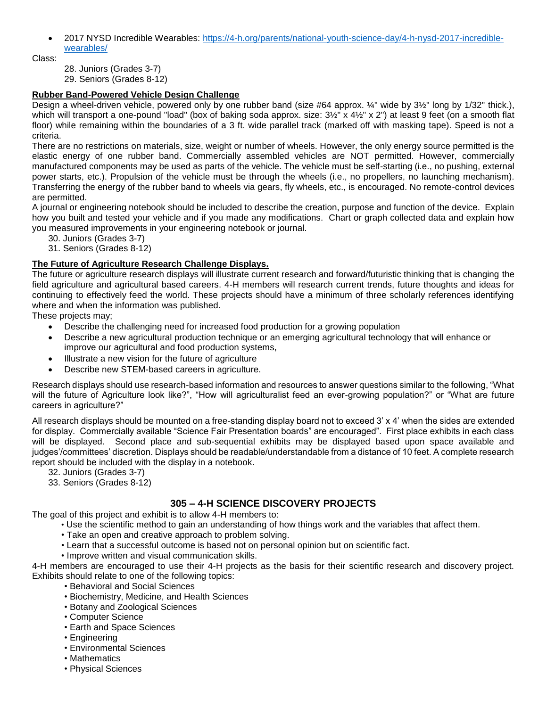2017 NYSD Incredible Wearables: [https://4-h.org/parents/national-youth-science-day/4-h-nysd-2017-incredible](https://4-h.org/parents/national-youth-science-day/4-h-nysd-2017-incredible-wearables/)[wearables/](https://4-h.org/parents/national-youth-science-day/4-h-nysd-2017-incredible-wearables/)

Class:

28. Juniors (Grades 3-7)

29. Seniors (Grades 8-12)

# **Rubber Band-Powered Vehicle Design Challenge**

Design a wheel-driven vehicle, powered only by one rubber band (size #64 approx. ¼" wide by 3½" long by 1/32" thick.), which will transport a one-pound "load" (box of baking soda approx. size:  $3\frac{1}{2}$ " x  $4\frac{1}{2}$ " x 2") at least 9 feet (on a smooth flat floor) while remaining within the boundaries of a 3 ft. wide parallel track (marked off with masking tape). Speed is not a criteria.

There are no restrictions on materials, size, weight or number of wheels. However, the only energy source permitted is the elastic energy of one rubber band. Commercially assembled vehicles are NOT permitted. However, commercially manufactured components may be used as parts of the vehicle. The vehicle must be self-starting (i.e., no pushing, external power starts, etc.). Propulsion of the vehicle must be through the wheels (i.e., no propellers, no launching mechanism). Transferring the energy of the rubber band to wheels via gears, fly wheels, etc., is encouraged. No remote-control devices are permitted.

A journal or engineering notebook should be included to describe the creation, purpose and function of the device. Explain how you built and tested your vehicle and if you made any modifications. Chart or graph collected data and explain how you measured improvements in your engineering notebook or journal.

- 30. Juniors (Grades 3-7)
- 31. Seniors (Grades 8-12)

# **The Future of Agriculture Research Challenge Displays.**

The future or agriculture research displays will illustrate current research and forward/futuristic thinking that is changing the field agriculture and agricultural based careers. 4-H members will research current trends, future thoughts and ideas for continuing to effectively feed the world. These projects should have a minimum of three scholarly references identifying where and when the information was published.

These projects may;

- Describe the challenging need for increased food production for a growing population
- Describe a new agricultural production technique or an emerging agricultural technology that will enhance or improve our agricultural and food production systems,
- Illustrate a new vision for the future of agriculture
- Describe new STEM-based careers in agriculture.

Research displays should use research-based information and resources to answer questions similar to the following, "What will the future of Agriculture look like?", "How will agriculturalist feed an ever-growing population?" or "What are future careers in agriculture?"

All research displays should be mounted on a free-standing display board not to exceed 3' x 4' when the sides are extended for display. Commercially available "Science Fair Presentation boards" are encouraged". First place exhibits in each class will be displayed. Second place and sub-sequential exhibits may be displayed based upon space available and judges'/committees' discretion. Displays should be readable/understandable from a distance of 10 feet. A complete research report should be included with the display in a notebook.

- 32. Juniors (Grades 3-7)
- 33. Seniors (Grades 8-12)

# **305 – 4-H SCIENCE DISCOVERY PROJECTS**

The goal of this project and exhibit is to allow 4-H members to:

- Use the scientific method to gain an understanding of how things work and the variables that affect them.
	- Take an open and creative approach to problem solving.
	- Learn that a successful outcome is based not on personal opinion but on scientific fact.
	- Improve written and visual communication skills.

4-H members are encouraged to use their 4-H projects as the basis for their scientific research and discovery project. Exhibits should relate to one of the following topics:

- Behavioral and Social Sciences
- Biochemistry, Medicine, and Health Sciences
- Botany and Zoological Sciences
- Computer Science
- Earth and Space Sciences
- Engineering
- Environmental Sciences
- Mathematics
- Physical Sciences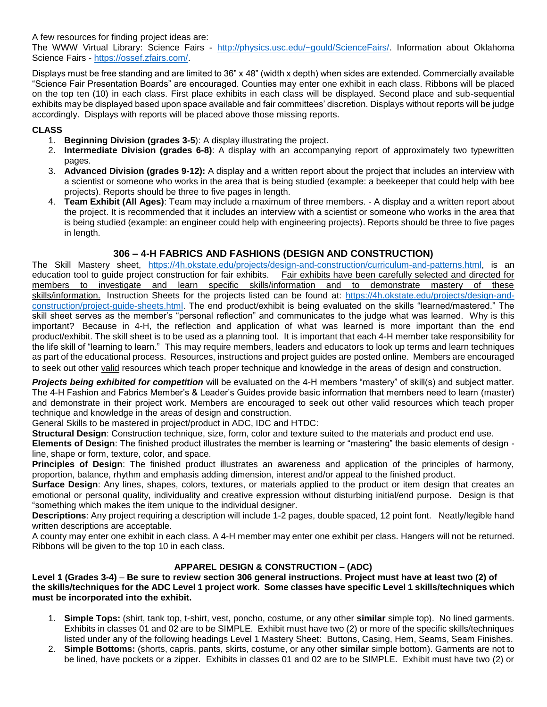A few resources for finding project ideas are:

The WWW Virtual Library: Science Fairs - [http://physics.usc.edu/~gould/ScienceFairs/.](http://physics.usc.edu/~gould/ScienceFairs/) Information about Oklahoma Science Fairs - [https://ossef.zfairs.com/.](https://ossef.zfairs.com/)

Displays must be free standing and are limited to 36" x 48" (width x depth) when sides are extended. Commercially available "Science Fair Presentation Boards" are encouraged. Counties may enter one exhibit in each class. Ribbons will be placed on the top ten (10) in each class. First place exhibits in each class will be displayed. Second place and sub-sequential exhibits may be displayed based upon space available and fair committees' discretion. Displays without reports will be judge accordingly. Displays with reports will be placed above those missing reports.

# **CLASS**

- 1. **Beginning Division (grades 3-5**): A display illustrating the project.
- 2. **Intermediate Division (grades 6-8)**: A display with an accompanying report of approximately two typewritten pages.
- 3. **Advanced Division (grades 9-12):** A display and a written report about the project that includes an interview with a scientist or someone who works in the area that is being studied (example: a beekeeper that could help with bee projects). Reports should be three to five pages in length.
- 4. **Team Exhibit (All Ages)**: Team may include a maximum of three members. A display and a written report about the project. It is recommended that it includes an interview with a scientist or someone who works in the area that is being studied (example: an engineer could help with engineering projects). Reports should be three to five pages in length.

# **306 – 4-H FABRICS AND FASHIONS (DESIGN AND CONSTRUCTION)**

The Skill Mastery sheet, [https://4h.okstate.edu/projects/design-and-construction/curriculum-and-patterns.html,](https://4h.okstate.edu/projects/design-and-construction/curriculum-and-patterns.html) is an<br>education tool to quide project construction for fair exhibits. Fair exhibits have been carefully selecte Fair exhibits have been carefully selected and directed for members to investigate and learn specific skills/information and to demonstrate mastery of these skills/information. Instruction Sheets for the projects listed can be found at: [https://4h.okstate.edu/projects/design-and](https://4h.okstate.edu/projects/design-and-construction/project-guide-sheets.html)[construction/project-guide-sheets.html.](https://4h.okstate.edu/projects/design-and-construction/project-guide-sheets.html) The end product/exhibit is being evaluated on the skills "learned/mastered." The skill sheet serves as the member's "personal reflection" and communicates to the judge what was learned. Why is this important? Because in 4-H, the reflection and application of what was learned is more important than the end product/exhibit. The skill sheet is to be used as a planning tool. It is important that each 4-H member take responsibility for the life skill of "learning to learn." This may require members, leaders and educators to look up terms and learn techniques as part of the educational process. Resources, instructions and project guides are posted online. Members are encouraged to seek out other valid resources which teach proper technique and knowledge in the areas of design and construction.

*Projects being exhibited for competition* will be evaluated on the 4-H members "mastery" of skill(s) and subject matter. The 4-H Fashion and Fabrics Member's & Leader's Guides provide basic information that members need to learn (master) and demonstrate in their project work. Members are encouraged to seek out other valid resources which teach proper technique and knowledge in the areas of design and construction.

General Skills to be mastered in project/product in ADC, IDC and HTDC:

**Structural Design:** Construction technique, size, form, color and texture suited to the materials and product end use.

**Elements of Design**: The finished product illustrates the member is learning or "mastering" the basic elements of design line, shape or form, texture, color, and space.

**Principles of Design**: The finished product illustrates an awareness and application of the principles of harmony, proportion, balance, rhythm and emphasis adding dimension, interest and/or appeal to the finished product.

**Surface Design**: Any lines, shapes, colors, textures, or materials applied to the product or item design that creates an emotional or personal quality, individuality and creative expression without disturbing initial/end purpose. Design is that "something which makes the item unique to the individual designer.

**Descriptions**: Any project requiring a description will include 1-2 pages, double spaced, 12 point font. Neatly/legible hand written descriptions are acceptable.

A county may enter one exhibit in each class. A 4-H member may enter one exhibit per class. Hangers will not be returned. Ribbons will be given to the top 10 in each class.

# **APPAREL DESIGN & CONSTRUCTION – (ADC)**

**Level 1 (Grades 3-4)** – **Be sure to review section 306 general instructions. Project must have at least two (2) of the skills/techniques for the ADC Level 1 project work. Some classes have specific Level 1 skills/techniques which must be incorporated into the exhibit.**

- 1. **Simple Tops:** (shirt, tank top, t-shirt, vest, poncho, costume, or any other **similar** simple top). No lined garments. Exhibits in classes 01 and 02 are to be SIMPLE. Exhibit must have two (2) or more of the specific skills/techniques listed under any of the following headings Level 1 Mastery Sheet: [Buttons, Casing, Hem, Seams, Seam Finishes.](https://apps.dasnr.okstate.edu/SSL/4h.okstate.edu/literature-links/lit-online/family-consumer-science/fabric/sample-technique-cards)
- 2. **Simple Bottoms:** (shorts, capris, pants, skirts, costume, or any other **similar** simple bottom). Garments are not to be lined, have pockets or a zipper. Exhibits in classes 01 and 02 are to be SIMPLE. Exhibit must have two (2) or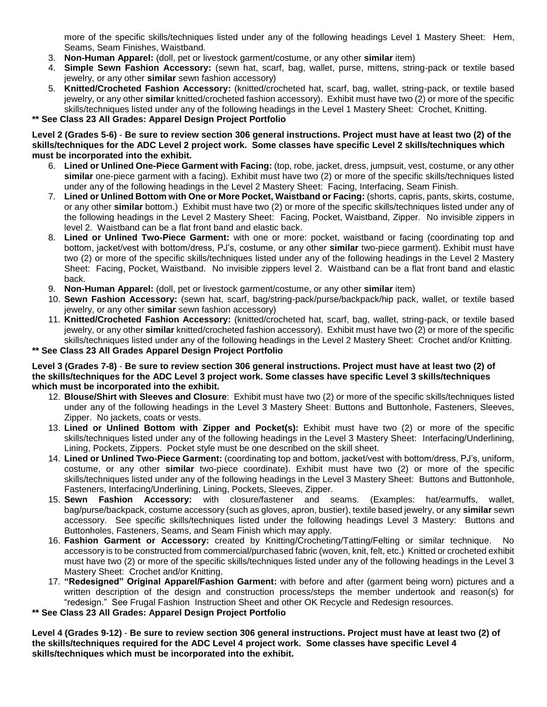more of the specific skills/techniques listed under any of the following headings Level 1 Mastery Sheet: Hem, Seams, Seam Finishes, Waistband.

- 3. **Non-Human Apparel:** (doll, pet or livestock garment/costume, or any other **similar** item)
- 4. **Simple Sewn Fashion Accessory:** (sewn hat, scarf, bag, wallet, purse, mittens, string-pack or textile based jewelry, or any other **similar** sewn fashion accessory)
- 5. **Knitted/Crocheted Fashion Accessory:** (knitted/crocheted hat, scarf, bag, wallet, string-pack, or textile based jewelry, or any other **similar** knitted/crocheted fashion accessory). Exhibit must have two (2) or more of the specific skills/techniques listed under any of the following headings in the Level 1 Mastery Sheet: Crochet, Knitting.

# **\*\* See Class 23 All Grades: Apparel Design Project Portfolio**

#### **Level 2 (Grades 5-6)** - **Be sure to review section 306 general instructions. Project must have at least two (2) of the skills/techniques for the ADC Level 2 project work. Some classes have specific Level 2 skills/techniques which must be incorporated into the exhibit.**

- 6. **Lined or Unlined One-Piece Garment with Facing:** (top, robe, jacket, dress, jumpsuit, vest, costume, or any other **similar** one-piece garment with a facing). Exhibit must have two (2) or more of the specific skills/techniques listed under any of the following headings in the Level 2 Mastery Sheet: [Facing, Interfacing, Seam Finish.](https://apps.dasnr.okstate.edu/SSL/4h.okstate.edu/literature-links/lit-online/family-consumer-science/fabric/sample-technique-cards)
- 7. **Lined or Unlined Bottom with One or More Pocket, Waistband or Facing:** (shorts, capris, pants, skirts, costume, or any other **similar** bottom.) Exhibit must have two (2) or more of the specific skills/techniques listed under any of the following headings in the Level 2 Mastery Sheet: [Facing, Pocket, Waistband, Zipper.](https://apps.dasnr.okstate.edu/SSL/4h.okstate.edu/literature-links/lit-online/family-consumer-science/fabric/sample-technique-cards) No invisible zippers in level 2. Waistband can be a flat front band and elastic back.
- 8. **Lined or Unlined Two-Piece Garment:** with one or more: pocket, waistband or facing (coordinating top and bottom, jacket/vest with bottom/dress, PJ's, costume, or any other **similar** two-piece garment). Exhibit must have two (2) or more of the specific skills/techniques listed under any of the following headings in the Level 2 Mastery Sheet: Facing, Pocket, Waistband. No invisible zippers level 2. Waistband can be a flat front band and elastic back.
- 9. **Non-Human Apparel:** (doll, pet or livestock garment/costume, or any other **similar** item)
- 10. **Sewn Fashion Accessory:** (sewn hat, scarf, bag/string-pack/purse/backpack/hip pack, wallet, or textile based jewelry, or any other **similar** sewn fashion accessory)
- 11. **Knitted/Crocheted Fashion Accessory:** (knitted/crocheted hat, scarf, bag, wallet, string-pack, or textile based jewelry, or any other **similar** knitted/crocheted fashion accessory). Exhibit must have two (2) or more of the specific skills/techniques listed under any of the following headings in the Level 2 Mastery Sheet: Crochet and/or Knitting.

# **\*\* See Class 23 All Grades Apparel Design Project Portfolio**

#### **Level 3 (Grades 7-8)** - **Be sure to review section 306 general instructions. Project must have at least two (2) of the skills/techniques for the ADC Level 3 project work. Some classes have specific Level 3 skills/techniques which must be incorporated into the exhibit.**

- 12. **Blouse/Shirt with Sleeves and Closure**: Exhibit must have two (2) or more of the specific skills/techniques listed under any of the following headings in the Level 3 Mastery Sheet: Buttons and Buttonhole, Fasteners, Sleeves, Zipper. No jackets, coats or vests.
- 13. **Lined or Unlined Bottom with Zipper and Pocket(s):** Exhibit must have two (2) or more of the specific skills/techniques listed under any of the following headings in the Level 3 Mastery Sheet: Interfacing/Underlining, Lining, Pockets, Zippers. Pocket style must be one described on the skill sheet.
- 14. **Lined or Unlined Two-Piece Garment:** (coordinating top and bottom, jacket/vest with bottom/dress, PJ's, uniform, costume, or any other **similar** two-piece coordinate). Exhibit must have two (2) or more of the specific skills/techniques listed under any of the following headings in the Level 3 Mastery Sheet: Buttons and Buttonhole, Fasteners, Interfacing/Underlining, Lining, Pockets, Sleeves, Zipper.
- 15. **Sewn Fashion Accessory:** with closure/fastener and seams. (Examples: hat/earmuffs, wallet, bag/purse/backpack, costume accessory (such as gloves, apron, bustier), textile based jewelry, or any **similar** sewn accessory. See specific skills/techniques listed under the following headings Level 3 Mastery: Buttons and Buttonholes, Fasteners, Seams, and Seam Finish which may apply.
- 16. **Fashion Garment or Accessory:** created by Knitting/Crocheting/Tatting/Felting or similar technique. No accessory is to be constructed from commercial/purchased fabric (woven, knit, felt, etc.) Knitted or crocheted exhibit must have two (2) or more of the specific skills/techniques listed under any of the following headings in the Level 3 Mastery Sheet: Crochet and/or Knitting.
- 17. **"Redesigned" Original Apparel/Fashion Garment:** with before and after (garment being worn) pictures and a written description of the design and construction process/steps the member undertook and reason(s) for "redesign." See Frugal Fashion Instruction Sheet and other OK Recycle and Redesign resources.

**\*\* See Class 23 All Grades: Apparel Design Project Portfolio**

**Level 4 (Grades 9-12)** - **Be sure to review section 306 general instructions. Project must have at least two (2) of the skills/techniques required for the ADC Level 4 project work. Some classes have specific Level 4 skills/techniques which must be incorporated into the exhibit.**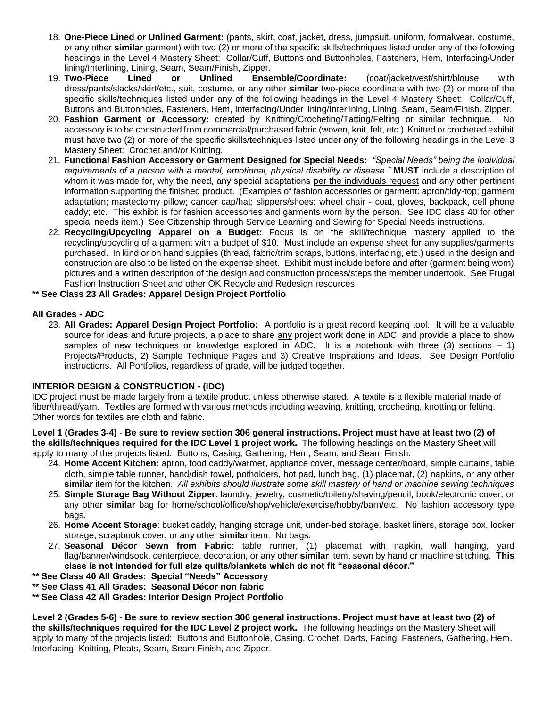- 18. **One-Piece Lined or Unlined Garment:** (pants, skirt, coat, jacket, dress, jumpsuit, uniform, formalwear, costume, or any other **similar** garment) with two (2) or more of the specific skills/techniques listed under any of the following headings in the Level 4 Mastery Sheet: [Collar/Cuff, Buttons and Buttonholes, Fasteners, Hem, Interfacing/Under](https://apps.dasnr.okstate.edu/SSL/4h.okstate.edu/literature-links/lit-online/family-consumer-science/fabric/sample-technique-cards)  [lining/Interlining, Lining, Seam, Seam/Finish, Zipper.](https://apps.dasnr.okstate.edu/SSL/4h.okstate.edu/literature-links/lit-online/family-consumer-science/fabric/sample-technique-cards)<br>Two-Piece Lined or Unlined Ensemble/Coordinate:
- 19. **Two-Piece Lined or Unlined Ensemble/Coordinate:** (coat/jacket/vest/shirt/blouse with dress/pants/slacks/skirt/etc., suit, costume, or any other **similar** two-piece coordinate with two (2) or more of the specific skills/techniques listed under any of the following headings in the Level 4 Mastery Sheet: Collar/Cuff, Buttons and Buttonholes, Fasteners, Hem, Interfacing/Under lining/Interlining, Lining, Seam, Seam/Finish, Zipper.
- 20. **Fashion Garment or Accessory:** created by Knitting/Crocheting/Tatting/Felting or similar technique. No accessory is to be constructed from commercial/purchased fabric (woven, knit, felt, etc.) Knitted or crocheted exhibit must have two (2) or more of the specific skills/techniques listed under any of the following headings in the Level 3 Mastery Sheet: Crochet and/or Knitting.
- 21. **Functional Fashion Accessory or Garment Designed for Special Needs:** *"Special Needs" being the individual requirements of a person with a mental, emotional, physical disability or disease."* **MUST** include a description of whom it was made for, why the need, any special adaptations per the individuals request and any other pertinent information supporting the finished product. (Examples of fashion accessories or garment: apron/tidy-top; garment adaptation; mastectomy pillow; cancer cap/hat; slippers/shoes; wheel chair - coat, gloves, backpack, cell phone caddy; etc. This exhibit is for fashion accessories and garments worn by the person. See IDC class 40 for other special needs item.) See Citizenship through Service Learning and Sewing for Special Needs instructions.
- 22. **Recycling/Upcycling Apparel on a Budget:** Focus is on the skill/technique mastery applied to the recycling/upcycling of a garment with a budget of \$10. Must include an expense sheet for any supplies/garments purchased. In kind or on hand supplies (thread, fabric/trim scraps, buttons, interfacing, etc.) used in the design and construction are also to be listed on the expense sheet. Exhibit must include before and after (garment being worn) pictures and a written description of the design and construction process/steps the member undertook. See Frugal Fashion Instruction Sheet and other OK Recycle and Redesign resources.

# **\*\* See Class 23 All Grades: Apparel Design Project Portfolio**

# **All Grades - ADC**

23. **All Grades: Apparel Design Project Portfolio:** A portfolio is a great record keeping tool. It will be a valuable source for ideas and future projects, a place to share any project work done in ADC, and provide a place to show samples of new techniques or knowledge explored in ADC. It is a notebook with three (3) sections  $-1$ ) Projects/Products, 2) Sample Technique Pages and 3) Creative Inspirations and Ideas. See Design Portfolio instructions. All Portfolios, regardless of grade, will be judged together.

# **INTERIOR DESIGN & CONSTRUCTION - (IDC)**

IDC project must be made largely from a textile product unless otherwise stated. A textile is a flexible material made of fiber/thread/yarn. Textiles are formed with various methods including weaving, knitting, crocheting, knotting or felting. Other words for textiles are cloth and fabric.

**Level 1 (Grades 3-4)** - **Be sure to review section 306 general instructions. Project must have at least two (2) of the skills/techniques required for the IDC Level 1 project work.** The following headings on the Mastery Sheet will apply to many of the projects listed: Buttons, Casing, Gathering, Hem, Seam, and Seam Finish.

- 24. **Home Accent Kitchen:** apron, food caddy/warmer, appliance cover, message center/board, simple curtains, table cloth, simple table runner, hand/dish towel, potholders, hot pad, lunch bag, (1) placemat, (2) napkins, or any other **similar** item for the kitchen. *All exhibits should illustrate some skill mastery of hand or machine sewing techniques*
- 25. **Simple Storage Bag Without Zipper**: laundry, jewelry, cosmetic/toiletry/shaving/pencil, book/electronic cover, or any other **similar** bag for home/school/office/shop/vehicle/exercise/hobby/barn/etc. No fashion accessory type bags.
- 26. **Home Accent Storage**: bucket caddy, hanging storage unit, under-bed storage, basket liners, storage box, locker storage, scrapbook cover, or any other **similar** item. No bags.
- 27. **Seasonal Décor Sewn from Fabric**: table runner, (1) placemat with napkin, wall hanging, yard flag/banner/windsock, centerpiece, decoration, or any other **similar** item, sewn by hand or machine stitching. **This class is not intended for full size quilts/blankets which do not fit "seasonal décor."**
- **\*\* See Class 40 All Grades: Special "Needs" Accessory**

**\*\* See Class 41 All Grades: Seasonal Décor non fabric**

**\*\* See Class 42 All Grades: Interior Design Project Portfolio**

**Level 2 (Grades 5-6)** - **Be sure to review section 306 general instructions. Project must have at least two (2) of the skills/techniques required for the IDC Level 2 project work.** The following headings on the Mastery Sheet will apply to many of the projects listed: Buttons and Buttonhole, Casing, Crochet, Darts, Facing, Fasteners, Gathering, Hem, Interfacing, Knitting, Pleats, Seam, Seam Finish, and Zipper.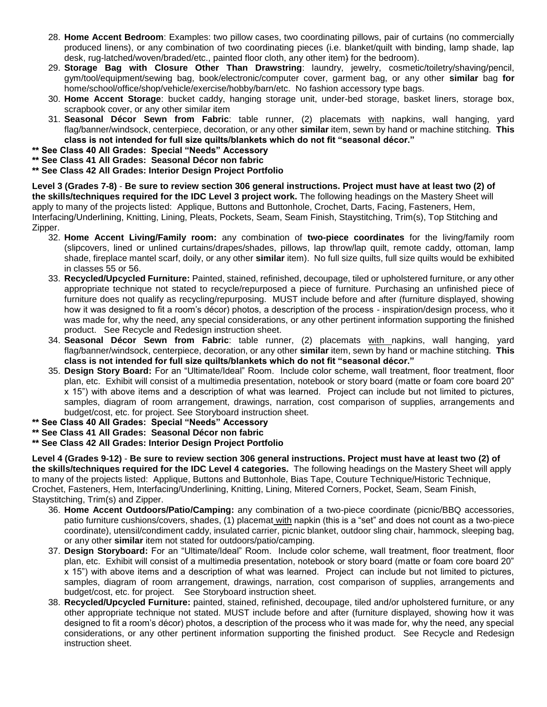- 28. **Home Accent Bedroom**: Examples: two pillow cases, two coordinating pillows, pair of curtains (no commercially produced linens), or any combination of two coordinating pieces (i.e. blanket/quilt with binding, lamp shade, lap desk, rug-latched/woven/braded/etc., painted floor cloth, any other item) for the bedroom).
- 29. **Storage Bag with Closure Other Than Drawstring**: laundry, jewelry, cosmetic/toiletry/shaving/pencil, gym/tool/equipment/sewing bag, book/electronic/computer cover, garment bag, or any other **similar** bag **for**  home/school/office/shop/vehicle/exercise/hobby/barn/etc. No fashion accessory type bags.
- 30. **Home Accent Storage**: bucket caddy, hanging storage unit, under-bed storage, basket liners, storage box, scrapbook cover, or any other similar item
- 31. **Seasonal Décor Sewn from Fabric**: table runner, (2) placemats with napkins, wall hanging, yard flag/banner/windsock, centerpiece, decoration, or any other **similar** item, sewn by hand or machine stitching. **This class is not intended for full size quilts/blankets which do not fit "seasonal décor."**
- **\*\* See Class 40 All Grades: Special "Needs" Accessory**
- **\*\* See Class 41 All Grades: Seasonal Décor non fabric**
- **\*\* See Class 42 All Grades: Interior Design Project Portfolio**

**Level 3 (Grades 7-8)** - **Be sure to review section 306 general instructions. Project must have at least two (2) of the skills/techniques required for the IDC Level 3 project work.** The following headings on the Mastery Sheet will apply to many of the projects listed: Applique, Buttons and Buttonhole, Crochet, Darts, Facing, Fasteners, Hem, Interfacing/Underlining, Knitting, Lining, Pleats, Pockets, Seam, Seam Finish, Staystitching, Trim(s), Top Stitching and Zipper.

- 32. **Home Accent Living/Family room:** any combination of **two-piece coordinates** for the living/family room (slipcovers, lined or unlined curtains/drapes/shades, pillows, lap throw/lap quilt, remote caddy, ottoman, lamp shade, fireplace mantel scarf, doily, or any other **similar** item). No full size quilts, full size quilts would be exhibited in classes 55 or 56.
- 33. **Recycled/Upcycled Furniture:** Painted, stained, refinished, decoupage, tiled or upholstered furniture, or any other appropriate technique not stated to recycle/repurposed a piece of furniture. Purchasing an unfinished piece of furniture does not qualify as recycling/repurposing. MUST include before and after (furniture displayed, showing how it was designed to fit a room's décor) photos, a description of the process - inspiration/design process, who it was made for, why the need, any special considerations, or any other pertinent information supporting the finished product. See [Recycle and Redesign](http://4h.okstate.edu/literature-links/lit-online/family-consumer-science/fabric/project-guide-sheets-2014/recycle-and-redesign/adc_frugal-fashion/view) instruction sheet.
- 34. **Seasonal Décor Sewn from Fabric**: table runner, (2) placemats with napkins, wall hanging, yard flag/banner/windsock, centerpiece, decoration, or any other **similar** item, sewn by hand or machine stitching. **This class is not intended for full size quilts/blankets which do not fit "seasonal décor."**
- 35. **Design Story Board:** For an "Ultimate/Ideal" Room. Include color scheme, wall treatment, floor treatment, floor plan, etc. Exhibit will consist of a multimedia presentation, notebook or story board (matte or foam core board 20" x 15") with above items and a description of what was learned. Project can include but not limited to pictures, samples, diagram of room arrangement, drawings, narration, cost comparison of supplies, arrangements and budget/cost, etc. for project. See Storyboard instruction sheet.
- **\*\* See Class 40 All Grades: Special "Needs" Accessory**
- **\*\* See Class 41 All Grades: Seasonal Décor non fabric**
- **\*\* See Class 42 All Grades: Interior Design Project Portfolio**

**Level 4 (Grades 9-12)** - **Be sure to review section 306 general instructions. Project must have at least two (2) of the skills/techniques required for the IDC Level 4 categories.** The following headings on the Mastery Sheet will apply to many of the projects listed: Applique, Buttons and Buttonhole, Bias Tape, Couture Technique/Historic Technique, Crochet, Fasteners, Hem, Interfacing/Underlining, Knitting, Lining, Mitered Corners, Pocket, Seam, Seam Finish, Staystitching, Trim(s) and Zipper.

- 36. **Home Accent Outdoors/Patio/Camping:** any combination of a two-piece coordinate (picnic/BBQ accessories, patio furniture cushions/covers, shades, (1) placemat with napkin (this is a "set" and does not count as a two-piece coordinate), utensil/condiment caddy, insulated carrier, picnic blanket, outdoor sling chair, hammock, sleeping bag, or any other **similar** item not stated for outdoors/patio/camping.
- 37. **Design Storyboard:** For an "Ultimate/Ideal" Room. Include color scheme, wall treatment, floor treatment, floor plan, etc. Exhibit will consist of a multimedia presentation, notebook or story board (matte or foam core board 20" x 15") with above items and a description of what was learned. Project can include but not limited to pictures, samples, diagram of room arrangement, drawings, narration, cost comparison of supplies, arrangements and budget/cost, etc. for project. See Storyboard instruction sheet.
- 38. **Recycled/Upcycled Furniture:** painted, stained, refinished, decoupage, tiled and/or upholstered furniture, or any other appropriate technique not stated. MUST include before and after (furniture displayed, showing how it was designed to fit a room's décor) photos, a description of the process who it was made for, why the need, any special considerations, or any other pertinent information supporting the finished product. See Recycle and Redesign instruction sheet.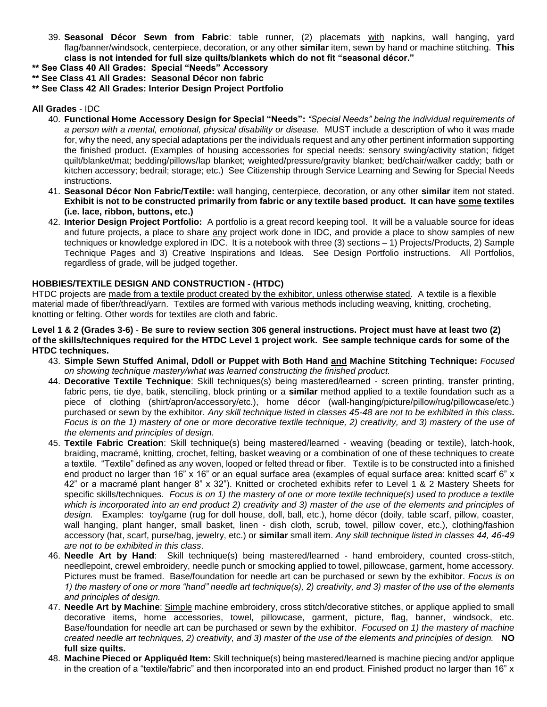- 39. **Seasonal Décor Sewn from Fabric**: table runner, (2) placemats with napkins, wall hanging, yard flag/banner/windsock, centerpiece, decoration, or any other **similar** item, sewn by hand or machine stitching. **This class is not intended for full size quilts/blankets which do not fit "seasonal décor."**
- **\*\* See Class 40 All Grades: Special "Needs" Accessory**
- **\*\* See Class 41 All Grades: Seasonal Décor non fabric**
- **\*\* See Class 42 All Grades: Interior Design Project Portfolio**

#### **All Grades** - IDC

- 40. **Functional Home Accessory Design for Special "Needs":** *"Special Needs" being the individual requirements of a person with a mental, emotional, physical disability or disease.* MUST include a description of who it was made for, why the need, any special adaptations per the individuals request and any other pertinent information supporting the finished product. (Examples of housing accessories for special needs: sensory swing/activity station; fidget quilt/blanket/mat; bedding/pillows/lap blanket; weighted/pressure/gravity blanket; bed/chair/walker caddy; bath or kitchen accessory; bedrail; storage; etc.) See Citizenship through Service Learning and Sewing for Special Needs instructions.
- 41. **Seasonal Décor Non Fabric/Textile:** wall hanging, centerpiece, decoration, or any other **similar** item not stated. **Exhibit is not to be constructed primarily from fabric or any textile based product. It can have some textiles (i.e. lace, ribbon, buttons, etc.)**
- 42. **Interior Design Project Portfolio:** A portfolio is a great record keeping tool. It will be a valuable source for ideas and future projects, a place to share any project work done in IDC, and provide a place to show samples of new techniques or knowledge explored in IDC. It is a notebook with three (3) sections – 1) Projects/Products, 2) Sample Technique Pages and 3) Creative Inspirations and Ideas. See Design Portfolio instructions. All Portfolios, regardless of grade, will be judged together.

#### **HOBBIES/TEXTILE DESIGN AND CONSTRUCTION - (HTDC)**

HTDC projects are made from a textile product created by the exhibitor, unless otherwise stated. A textile is a flexible material made of fiber/thread/yarn. Textiles are formed with various methods including weaving, knitting, crocheting, knotting or felting. Other words for textiles are cloth and fabric.

#### **Level 1 & 2 (Grades 3-6)** - **Be sure to review section 306 general instructions. Project must have at least two (2) of the skills/techniques required for the HTDC Level 1 project work. See [sample technique cards](https://apps.dasnr.okstate.edu/SSL/4h.okstate.edu/literature-links/lit-online/family-consumer-science/fabric/sample-technique-cards) for some of the HTDC techniques.**

- 43. **Simple Sewn Stuffed Animal, Ddoll or Puppet with Both Hand and Machine Stitching Technique:** *Focused on showing technique mastery/what was learned constructing the finished product.*
- 44. **Decorative Textile Technique**: Skill techniques(s) being mastered/learned screen printing, transfer printing, fabric pens, tie dye, batik, stenciling, block printing or a **similar** method applied to a textile foundation such as a piece of clothing (shirt/apron/accessory/etc.), home décor (wall-hanging/picture/pillow/rug/pillowcase/etc.) purchased or sewn by the exhibitor. *Any skill technique listed in classes 45-48 are not to be exhibited in this class. Focus is on the 1) mastery of one or more decorative textile technique, 2) creativity, and 3) mastery of the use of the elements and principles of design.*
- 45. **Textile Fabric Creation**: Skill technique(s) being mastered/learned weaving (beading or textile), latch-hook, braiding, macramé, knitting, crochet, felting, basket weaving or a combination of one of these techniques to create a textile. "Textile" defined as any woven, looped or felted thread or fiber. Textile is to be constructed into a finished end product no larger than 16" x 16" or an equal surface area (examples of equal surface area: knitted scarf 6" x 42" or a macramé plant hanger 8" x 32"). Knitted or crocheted exhibits refer to Level 1 & 2 Mastery Sheets for specific skills/techniques. *Focus is on 1) the mastery of one or more textile technique(s) used to produce a textile which is incorporated into an end product 2) creativity and 3) master of the use of the elements and principles of design.* Examples: toy/game (rug for doll house, doll, ball, etc.), home décor (doily, table scarf, pillow, coaster, wall hanging, plant hanger, small basket, linen - dish cloth, scrub, towel, pillow cover, etc.), clothing/fashion accessory (hat, scarf, purse/bag, jewelry, etc.) or **similar** small item. *Any skill technique listed in classes 44, 46-49 are not to be exhibited in this class*.
- 46. **Needle Art by Hand**: Skill technique(s) being mastered/learned hand embroidery, counted cross-stitch, needlepoint, crewel embroidery, needle punch or smocking applied to towel, pillowcase, garment, home accessory. Pictures must be framed. Base/foundation for needle art can be purchased or sewn by the exhibitor. *Focus is on 1) the mastery of one or more "hand" needle art technique(s), 2) creativity, and 3) master of the use of the elements and principles of design.*
- 47. **Needle Art by Machine**: Simple machine embroidery, cross stitch/decorative stitches, or applique applied to small decorative items, home accessories, towel, pillowcase, garment, picture, flag, banner, windsock, etc. Base/foundation for needle art can be purchased or sewn by the exhibitor. *Focused on 1) the mastery of machine created needle art techniques, 2) creativity, and 3) master of the use of the elements and principles of design.* **NO full size quilts.**
- 48. **Machine Pieced or Appliquéd Item:** Skill technique(s) being mastered/learned is machine piecing and/or applique in the creation of a "textile/fabric" and then incorporated into an end product. Finished product no larger than 16" x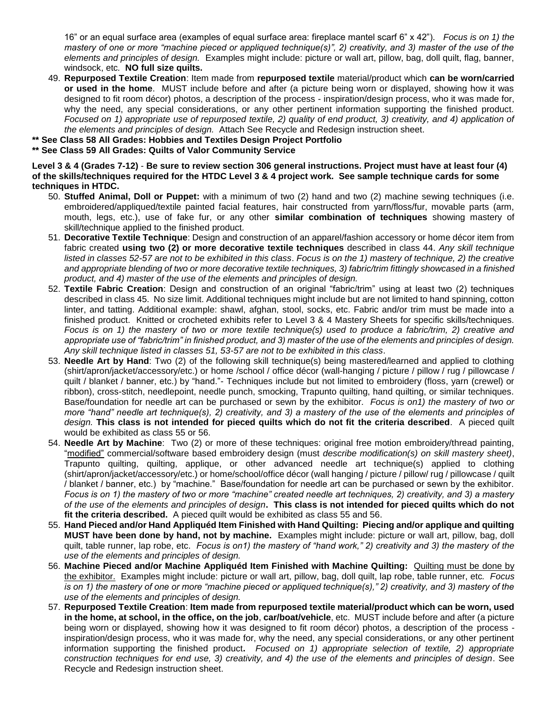16" or an equal surface area (examples of equal surface area: fireplace mantel scarf 6" x 42"). *Focus is on 1) the mastery of one or more "machine pieced or appliqued technique(s)", 2) creativity, and 3) master of the use of the elements and principles of design.*Examples might include: picture or wall art, pillow, bag, doll quilt, flag, banner, windsock, etc*.* **NO full size quilts.**

- 49. **Repurposed Textile Creation**: Item made from **repurposed textile** material/product which **can be worn/carried or used in the home**. MUST include before and after (a picture being worn or displayed, showing how it was designed to fit room décor) photos, a description of the process - inspiration/design process, who it was made for, why the need, any special considerations, or any other pertinent information supporting the finished product. *Focused on 1) appropriate use of repurposed textile, 2) quality of end product, 3) creativity, and 4) application of the elements and principles of design.* Attach See Recycle and Redesign instruction sheet.
- **\*\* See Class 58 All Grades: Hobbies and Textiles Design Project Portfolio**

#### **\*\* See Class 59 All Grades: Quilts of Valor Community Service**

**Level 3 & 4 (Grades 7-12)** - **Be sure to review section 306 general instructions. Project must have at least four (4) of the skills/techniques required for the HTDC Level 3 & 4 project work. See sample technique cards for some techniques in HTDC.**

- 50. **Stuffed Animal, Doll or Puppet:** with a minimum of two (2) hand and two (2) machine sewing techniques (i.e. embroidered/appliqued/textile painted facial features, hair constructed from yarn/floss/fur, movable parts (arm, mouth, legs, etc.), use of fake fur, or any other **similar combination of techniques** showing mastery of skill/technique applied to the finished product.
- 51. **Decorative Textile Technique**: Design and construction of an apparel/fashion accessory or home décor item from fabric created **using two (2) or more decorative textile techniques** described in class 44. *Any skill technique listed in classes 52-57 are not to be exhibited in this class*. *Focus is on the 1) mastery of technique, 2) the creative and appropriate blending of two or more decorative textile techniques, 3) fabric/trim fittingly showcased in a finished product, and 4) master of the use of the elements and principles of design.*
- 52. **Textile Fabric Creation**: Design and construction of an original "fabric/trim" using at least two (2) techniques described in class 45. No size limit. Additional techniques might include but are not limited to hand spinning, cotton linter, and tatting. Additional example: shawl, afghan, stool, socks, etc. Fabric and/or trim must be made into a finished product. Knitted or crocheted exhibits refer to Level 3 & 4 Mastery Sheets for specific skills/techniques. *Focus is on 1) the mastery of two or more textile technique(s) used to produce a fabric/trim, 2) creative and appropriate use of "fabric/trim" in finished product, and 3) master of the use of the elements and principles of design. Any skill technique listed in classes 51, 53-57 are not to be exhibited in this class*.
- 53. **Needle Art by Hand**: Two (2) of the following skill technique(s) being mastered/learned and applied to clothing (shirt/apron/jacket/accessory/etc.) or home /school / office décor (wall-hanging / picture / pillow / rug / pillowcase / quilt / blanket / banner, etc.) by "hand."- Techniques include but not limited to embroidery (floss, yarn (crewel) or ribbon), cross-stitch, needlepoint, needle punch, smocking, Trapunto quilting, hand quilting, or similar techniques. Base/foundation for needle art can be purchased or sewn by the exhibitor*. Focus is on1) the mastery of two or more "hand" needle art technique(s), 2) creativity, and 3) a mastery of the use of the elements and principles of design.* **This class is not intended for pieced quilts which do not fit the criteria described**. A pieced quilt would be exhibited as class 55 or 56.
- 54. **Needle Art by Machine**: Two (2) or more of these techniques: original free motion embroidery/thread painting, "modified" commercial/software based embroidery design (must *describe modification(s) on skill mastery sheet)*, Trapunto quilting, quilting, applique, or other advanced needle art technique(s) applied to clothing (shirt/apron/jacket/accessory/etc.) or home/school/office décor (wall hanging / picture / pillow/ rug / pillowcase / quilt / blanket / banner, etc.) by "machine." Base/foundation for needle art can be purchased or sewn by the exhibitor. *Focus is on 1) the mastery of two or more "machine" created needle art techniques, 2) creativity, and 3) a mastery of the use of the elements and principles of design***. This class is not intended for pieced quilts which do not fit the criteria described.** A pieced quilt would be exhibited as class 55 and 56.
- 55. **Hand Pieced and/or Hand Appliquéd Item Finished with Hand Quilting: Piecing and/or applique and quilting MUST have been done by hand, not by machine.** Examples might include: picture or wall art, pillow, bag, doll quilt, table runner, lap robe, etc. *Focus is on1) the mastery of "hand work," 2) creativity and 3) the mastery of the use of the elements and principles of design.*
- 56. **Machine Pieced and/or Machine Appliquéd Item Finished with Machine Quilting:** Quilting must be done by the exhibitor. Examples might include: picture or wall art, pillow, bag, doll quilt, lap robe, table runner, etc*. Focus is on 1) the mastery of one or more "machine pieced or appliqued technique(s)," 2) creativity, and 3) mastery of the use of the elements and principles of design.*
- 57. **Repurposed Textile Creation**: **Item made from repurposed textile material/product which can be worn, used in the home, at school, in the office, on the job**, **car/boat/vehicle**, etc. MUST include before and after (a picture being worn or displayed, showing how it was designed to fit room décor) photos, a description of the process inspiration/design process, who it was made for, why the need, any special considerations, or any other pertinent information supporting the finished product**.** *Focused on 1) appropriate selection of textile, 2) appropriate construction techniques for end use, 3) creativity, and 4) the use of the elements and principles of design*. See Recycle and Redesign instruction sheet.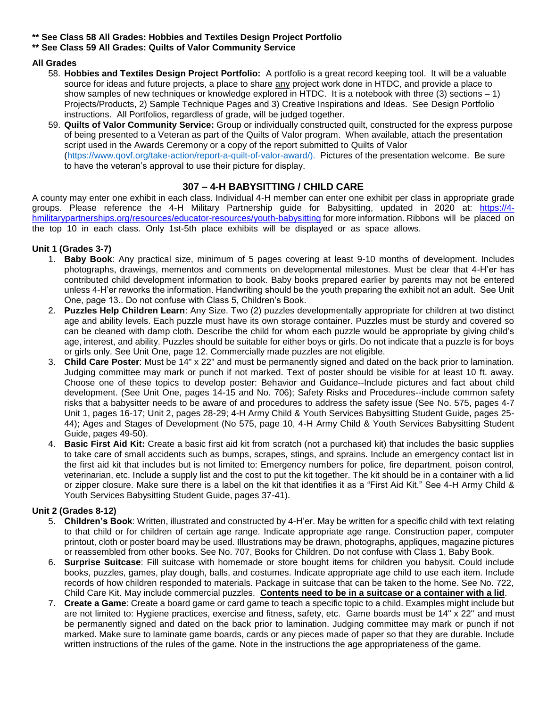- **\*\* See Class 58 All Grades: Hobbies and Textiles Design Project Portfolio**
- **\*\* See Class 59 All Grades: Quilts of Valor Community Service**

# **All Grades**

- 58. **Hobbies and Textiles Design Project Portfolio:** A portfolio is a great record keeping tool. It will be a valuable source for ideas and future projects, a place to share any project work done in HTDC, and provide a place to show samples of new techniques or knowledge explored in HTDC. It is a notebook with three (3) sections  $-1$ ) Projects/Products, 2) Sample Technique Pages and 3) Creative Inspirations and Ideas. See Design Portfolio instructions. All Portfolios, regardless of grade, will be judged together.
- 59. **Quilts of Valor Community Service:** Group or individually constructed quilt, constructed for the express purpose of being presented to a Veteran as part of the Quilts of Valor program. When available, attach the presentation script used in the Awards Ceremony or a copy of the report submitted to Quilts of Valor [\(https://www.qovf.org/take-action/report-a-quilt-of-valor-award/\).](https://www.qovf.org/take-action/report-a-quilt-of-valor-award/).) Pictures of the presentation welcome. Be sure to have the veteran's approval to use their picture for display.

# **307 – 4-H BABYSITTING / CHILD CARE**

A county may enter one exhibit in each class. Individual 4-H member can enter one exhibit per class in appropriate grade groups. Please reference the 4-H Military Partnership guide for Babysitting, updated in 2020 at: https://4hmilitarypartnerships.org/resources/educator-resources/youth-babysitting for more information. Ribbons will be placed on the top 10 in each class. Only 1st-5th place exhibits will be displayed or as space allows.

# **Unit 1 (Grades 3-7)**

- 1. **Baby Book**: Any practical size, minimum of 5 pages covering at least 9-10 months of development. Includes photographs, drawings, mementos and comments on developmental milestones. Must be clear that 4-H'er has contributed child development information to book. Baby books prepared earlier by parents may not be entered unless 4-H'er reworks the information. Handwriting should be the youth preparing the exhibit not an adult. See Unit One, page 13.. Do not confuse with Class 5, Children's Book.
- 2. **Puzzles Help Children Learn**: Any Size. Two (2) puzzles developmentally appropriate for children at two distinct age and ability levels. Each puzzle must have its own storage container. Puzzles must be sturdy and covered so can be cleaned with damp cloth. Describe the child for whom each puzzle would be appropriate by giving child's age, interest, and ability. Puzzles should be suitable for either boys or girls. Do not indicate that a puzzle is for boys or girls only. See Unit One, page 12. Commercially made puzzles are not eligible.
- 3. **Child Care Poster**: Must be 14" x 22" and must be permanently signed and dated on the back prior to lamination. Judging committee may mark or punch if not marked. Text of poster should be visible for at least 10 ft. away. Choose one of these topics to develop poster: Behavior and Guidance--Include pictures and fact about child development. (See Unit One, pages 14-15 and No. 706); Safety Risks and Procedures--include common safety risks that a babysitter needs to be aware of and procedures to address the safety issue (See No. 575, pages 4-7 Unit 1, pages 16-17; Unit 2, pages 28-29; 4-H Army Child & Youth Services Babysitting Student Guide, pages 25- 44); Ages and Stages of Development (No 575, page 10, 4-H Army Child & Youth Services Babysitting Student Guide, pages 49-50).
- 4. **Basic First Aid Kit:** Create a basic first aid kit from scratch (not a purchased kit) that includes the basic supplies to take care of small accidents such as bumps, scrapes, stings, and sprains. Include an emergency contact list in the first aid kit that includes but is not limited to: Emergency numbers for police, fire department, poison control, veterinarian, etc. Include a supply list and the cost to put the kit together. The kit should be in a container with a lid or zipper closure. Make sure there is a label on the kit that identifies it as a "First Aid Kit." See 4-H Army Child & Youth Services Babysitting Student Guide, pages 37-41).

# **Unit 2 (Grades 8-12)**

- 5. **Children's Book**: Written, illustrated and constructed by 4-H'er. May be written for a specific child with text relating to that child or for children of certain age range. Indicate appropriate age range. Construction paper, computer printout, cloth or poster board may be used. Illustrations may be drawn, photographs, appliques, magazine pictures or reassembled from other books. See No. 707, Books for Children. Do not confuse with Class 1, Baby Book.
- 6. **Surprise Suitcase**: Fill suitcase with homemade or store bought items for children you babysit. Could include books, puzzles, games, play dough, balls, and costumes. Indicate appropriate age child to use each item. Include records of how children responded to materials. Package in suitcase that can be taken to the home. See No. 722, Child Care Kit. May include commercial puzzles. **Contents need to be in a suitcase or a container with a lid**.
- 7. **Create a Game**: Create a board game or card game to teach a specific topic to a child. Examples might include but are not limited to: Hygiene practices, exercise and fitness, safety, etc. Game boards must be 14" x 22" and must be permanently signed and dated on the back prior to lamination. Judging committee may mark or punch if not marked. Make sure to laminate game boards, cards or any pieces made of paper so that they are durable. Include written instructions of the rules of the game. Note in the instructions the age appropriateness of the game.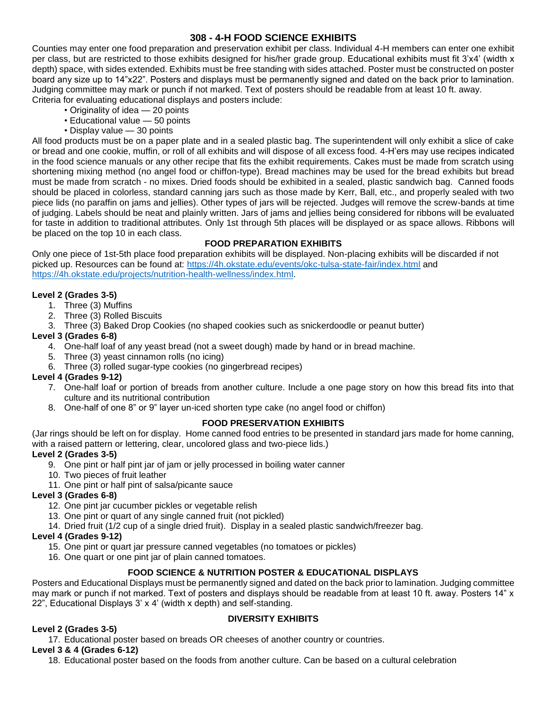# **308 - 4-H FOOD SCIENCE EXHIBITS**

Counties may enter one food preparation and preservation exhibit per class. Individual 4-H members can enter one exhibit per class, but are restricted to those exhibits designed for his/her grade group. Educational exhibits must fit 3'x4' (width x depth) space, with sides extended. Exhibits must be free standing with sides attached. Poster must be constructed on poster board any size up to 14"x22". Posters and displays must be permanently signed and dated on the back prior to lamination. Judging committee may mark or punch if not marked. Text of posters should be readable from at least 10 ft. away. Criteria for evaluating educational displays and posters include:

- Originality of idea 20 points
- Educational value 50 points
- Display value 30 points

All food products must be on a paper plate and in a sealed plastic bag. The superintendent will only exhibit a slice of cake or bread and one cookie, muffin, or roll of all exhibits and will dispose of all excess food. 4-H'ers may use recipes indicated in the food science manuals or any other recipe that fits the exhibit requirements. Cakes must be made from scratch using shortening mixing method (no angel food or chiffon-type). Bread machines may be used for the bread exhibits but bread must be made from scratch - no mixes. Dried foods should be exhibited in a sealed, plastic sandwich bag. Canned foods should be placed in colorless, standard canning jars such as those made by Kerr, Ball, etc., and properly sealed with two piece lids (no paraffin on jams and jellies). Other types of jars will be rejected. Judges will remove the screw-bands at time of judging. Labels should be neat and plainly written. Jars of jams and jellies being considered for ribbons will be evaluated for taste in addition to traditional attributes. Only 1st through 5th places will be displayed or as space allows. Ribbons will be placed on the top 10 in each class.

# **FOOD PREPARATION EXHIBITS**

Only one piece of 1st-5th place food preparation exhibits will be displayed. Non-placing exhibits will be discarded if not picked up. Resources can be found at:<https://4h.okstate.edu/events/okc-tulsa-state-fair/index.html> and [https://4h.okstate.edu/projects/nutrition-health-wellness/index.html.](https://4h.okstate.edu/projects/nutrition-health-wellness/index.html)

# **Level 2 (Grades 3-5)**

- 1. Three (3) Muffins
- 2. Three (3) Rolled Biscuits
- 3. Three (3) Baked Drop Cookies (no shaped cookies such as snickerdoodle or peanut butter)

# **Level 3 (Grades 6-8)**

- 4. One-half loaf of any yeast bread (not a sweet dough) made by hand or in bread machine.
- 5. Three (3) yeast cinnamon rolls (no icing)
- 6. Three (3) rolled sugar-type cookies (no gingerbread recipes)

# **Level 4 (Grades 9-12)**

- 7. One-half loaf or portion of breads from another culture. Include a one page story on how this bread fits into that culture and its nutritional contribution
- 8. One-half of one 8" or 9" layer un-iced shorten type cake (no angel food or chiffon)

# **FOOD PRESERVATION EXHIBITS**

(Jar rings should be left on for display. Home canned food entries to be presented in standard jars made for home canning, with a raised pattern or lettering, clear, uncolored glass and two-piece lids.)

# **Level 2 (Grades 3-5)**

- 9. One pint or half pint jar of jam or jelly processed in boiling water canner
- 10. Two pieces of fruit leather
- 11. One pint or half pint of salsa/picante sauce

# **Level 3 (Grades 6-8)**

- 12. One pint jar cucumber pickles or vegetable relish
- 13. One pint or quart of any single canned fruit (not pickled)
- 14. Dried fruit (1/2 cup of a single dried fruit). Display in a sealed plastic sandwich/freezer bag.

# **Level 4 (Grades 9-12)**

- 15. One pint or quart jar pressure canned vegetables (no tomatoes or pickles)
- 16. One quart or one pint jar of plain canned tomatoes.

# **FOOD SCIENCE & NUTRITION POSTER & EDUCATIONAL DISPLAYS**

Posters and Educational Displays must be permanently signed and dated on the back prior to lamination. Judging committee may mark or punch if not marked. Text of posters and displays should be readable from at least 10 ft. away. Posters 14" x 22", Educational Displays 3' x 4' (width x depth) and self-standing.

# **Level 2 (Grades 3-5)**

# **DIVERSITY EXHIBITS**

17. Educational poster based on breads OR cheeses of another country or countries.

# **Level 3 & 4 (Grades 6-12)**

18. Educational poster based on the foods from another culture. Can be based on a cultural celebration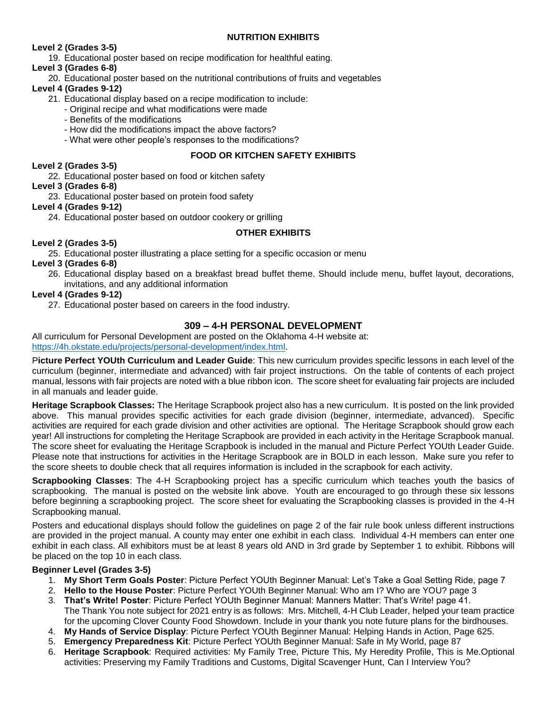# **NUTRITION EXHIBITS**

# **Level 2 (Grades 3-5)**

19. Educational poster based on recipe modification for healthful eating.

# **Level 3 (Grades 6-8)**

20. Educational poster based on the nutritional contributions of fruits and vegetables

# **Level 4 (Grades 9-12)**

- 21. Educational display based on a recipe modification to include:
	- Original recipe and what modifications were made
	- Benefits of the modifications
	- How did the modifications impact the above factors?
	- What were other people's responses to the modifications?

# **FOOD OR KITCHEN SAFETY EXHIBITS**

# **Level 2 (Grades 3-5)**

22. Educational poster based on food or kitchen safety

# **Level 3 (Grades 6-8)**

23. Educational poster based on protein food safety

# **Level 4 (Grades 9-12)**

24. Educational poster based on outdoor cookery or grilling

# **OTHER EXHIBITS**

# **Level 2 (Grades 3-5)**

25. Educational poster illustrating a place setting for a specific occasion or menu

# **Level 3 (Grades 6-8)**

26. Educational display based on a breakfast bread buffet theme. Should include menu, buffet layout, decorations, invitations, and any additional information

# **Level 4 (Grades 9-12)**

27. Educational poster based on careers in the food industry.

# **309 – 4-H PERSONAL DEVELOPMENT**

All curriculum for Personal Development are posted on the Oklahoma 4-H website at: [https://4h.okstate.edu/projects/personal-development/index.html.](https://4h.okstate.edu/projects/personal-development/index.html)

P**icture Perfect YOUth Curriculum and Leader Guide**: This new curriculum provides specific lessons in each level of the curriculum (beginner, intermediate and advanced) with fair project instructions. On the table of contents of each project manual, lessons with fair projects are noted with a blue ribbon icon. The score sheet for evaluating fair projects are included in all manuals and leader guide.

**Heritage Scrapbook Classes:** The Heritage Scrapbook project also has a new curriculum. It is posted on the link provided above. This manual provides specific activities for each grade division (beginner, intermediate, advanced). Specific activities are required for each grade division and other activities are optional. The Heritage Scrapbook should grow each year! All instructions for completing the Heritage Scrapbook are provided in each activity in the Heritage Scrapbook manual. The score sheet for evaluating the Heritage Scrapbook is included in the manual and Picture Perfect YOUth Leader Guide. Please note that instructions for activities in the Heritage Scrapbook are in BOLD in each lesson. Make sure you refer to the score sheets to double check that all requires information is included in the scrapbook for each activity.

**Scrapbooking Classes**: The 4-H Scrapbooking project has a specific curriculum which teaches youth the basics of scrapbooking. The manual is posted on the website link above. Youth are encouraged to go through these six lessons before beginning a scrapbooking project. The score sheet for evaluating the Scrapbooking classes is provided in the 4-H Scrapbooking manual.

Posters and educational displays should follow the guidelines on page 2 of the fair rule book unless different instructions are provided in the project manual. A county may enter one exhibit in each class. Individual 4-H members can enter one exhibit in each class. All exhibitors must be at least 8 years old AND in 3rd grade by September 1 to exhibit. Ribbons will be placed on the top 10 in each class.

# **Beginner Level (Grades 3-5)**

- 1. **My Short Term Goals Poster**: Picture Perfect YOUth Beginner Manual: Let's Take a Goal Setting Ride, page 7
- 2. **Hello to the House Poster**: Picture Perfect YOUth Beginner Manual: Who am I? Who are YOU? page 3
- 3. **That's Write! Poster**: Picture Perfect YOUth Beginner Manual: Manners Matter: That's Write! page 41. The Thank You note subject for 2021 entry is as follows: Mrs. Mitchell, 4-H Club Leader, helped your team practice for the upcoming Clover County Food Showdown. Include in your thank you note future plans for the birdhouses.
- 4. **My Hands of Service Display**: Picture Perfect YOUth Beginner Manual: Helping Hands in Action, Page 625.
- 5. **Emergency Preparedness Kit**: Picture Perfect YOUth Beginner Manual: Safe in My World, page 87
- 6. **Heritage Scrapbook**: Required activities: My Family Tree, Picture This, My Heredity Profile, This is Me.Optional activities: Preserving my Family Traditions and Customs, Digital Scavenger Hunt, Can I Interview You?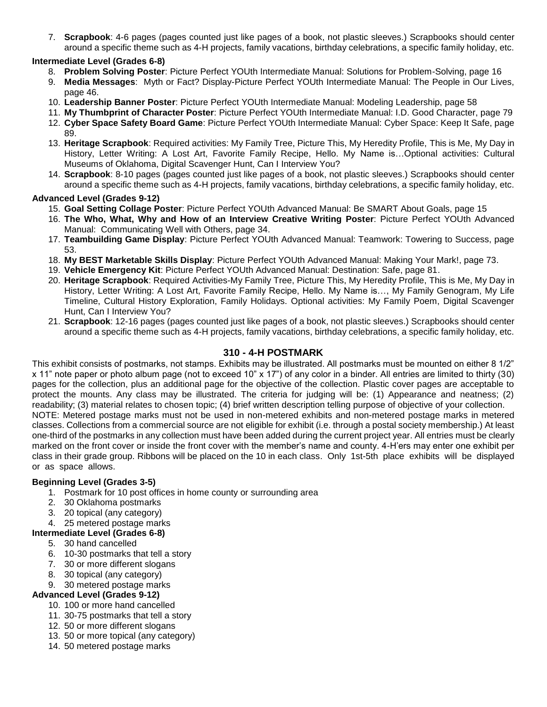7. **Scrapbook**: 4-6 pages (pages counted just like pages of a book, not plastic sleeves.) Scrapbooks should center around a specific theme such as 4-H projects, family vacations, birthday celebrations, a specific family holiday, etc.

# **Intermediate Level (Grades 6-8)**

- 8. **Problem Solving Poster**: Picture Perfect YOUth Intermediate Manual: Solutions for Problem-Solving, page 16
- 9. **Media Messages**: Myth or Fact? Display-Picture Perfect YOUth Intermediate Manual: The People in Our Lives, page 46.
- 10. **Leadership Banner Poster**: Picture Perfect YOUth Intermediate Manual: Modeling Leadership, page 58
- 11. **My Thumbprint of Character Poster**: Picture Perfect YOUth Intermediate Manual: I.D. Good Character, page 79 12. **Cyber Space Safety Board Game**: Picture Perfect YOUth Intermediate Manual: Cyber Space: Keep It Safe, page
- 89. 13. **Heritage Scrapbook**: Required activities: My Family Tree, Picture This, My Heredity Profile, This is Me, My Day in History, Letter Writing: A Lost Art, Favorite Family Recipe, Hello. My Name is…Optional activities: Cultural Museums of Oklahoma, Digital Scavenger Hunt, Can I Interview You?
- 14. **Scrapbook**: 8-10 pages (pages counted just like pages of a book, not plastic sleeves.) Scrapbooks should center around a specific theme such as 4-H projects, family vacations, birthday celebrations, a specific family holiday, etc.

# **Advanced Level (Grades 9-12)**

- 15. **Goal Setting Collage Poster**: Picture Perfect YOUth Advanced Manual: Be SMART About Goals, page 15
- 16. **The Who, What, Why and How of an Interview Creative Writing Poster**: Picture Perfect YOUth Advanced Manual: Communicating Well with Others, page 34.
- 17. **Teambuilding Game Display**: Picture Perfect YOUth Advanced Manual: Teamwork: Towering to Success, page 53.
- 18. **My BEST Marketable Skills Display**: Picture Perfect YOUth Advanced Manual: Making Your Mark!, page 73.
- 19. **Vehicle Emergency Kit**: Picture Perfect YOUth Advanced Manual: Destination: Safe, page 81.
- 20. **Heritage Scrapbook**: Required Activities-My Family Tree, Picture This, My Heredity Profile, This is Me, My Day in History, Letter Writing: A Lost Art, Favorite Family Recipe, Hello. My Name is…, My Family Genogram, My Life Timeline, Cultural History Exploration, Family Holidays. Optional activities: My Family Poem, Digital Scavenger Hunt, Can I Interview You?
- 21. **Scrapbook**: 12-16 pages (pages counted just like pages of a book, not plastic sleeves.) Scrapbooks should center around a specific theme such as 4-H projects, family vacations, birthday celebrations, a specific family holiday, etc.

# **310 - 4-H POSTMARK**

This exhibit consists of postmarks, not stamps. Exhibits may be illustrated. All postmarks must be mounted on either 8 1/2" x 11" note paper or photo album page (not to exceed 10" x 17") of any color in a binder. All entries are limited to thirty (30) pages for the collection, plus an additional page for the objective of the collection. Plastic cover pages are acceptable to protect the mounts. Any class may be illustrated. The criteria for judging will be: (1) Appearance and neatness; (2) readability; (3) material relates to chosen topic; (4) brief written description telling purpose of objective of your collection. NOTE: Metered postage marks must not be used in non-metered exhibits and non-metered postage marks in metered classes. Collections from a commercial source are not eligible for exhibit (i.e. through a postal society membership.) At least one-third of the postmarks in any collection must have been added during the current project year. All entries must be clearly marked on the front cover or inside the front cover with the member's name and county. 4-H'ers may enter one exhibit per class in their grade group. Ribbons will be placed on the 10 in each class. Only 1st-5th place exhibits will be displayed or as space allows.

# **Beginning Level (Grades 3-5)**

- 1. Postmark for 10 post offices in home county or surrounding area
- 2. 30 Oklahoma postmarks
- 3. 20 topical (any category)
- 4. 25 metered postage marks
- **Intermediate Level (Grades 6-8)**
	- 5. 30 hand cancelled
	- 6. 10-30 postmarks that tell a story
	- 7. 30 or more different slogans
	- 8. 30 topical (any category)
	- 9. 30 metered postage marks

# **Advanced Level (Grades 9-12)**

- 10. 100 or more hand cancelled
- 11. 30-75 postmarks that tell a story
- 12. 50 or more different slogans
- 13. 50 or more topical (any category)
- 14. 50 metered postage marks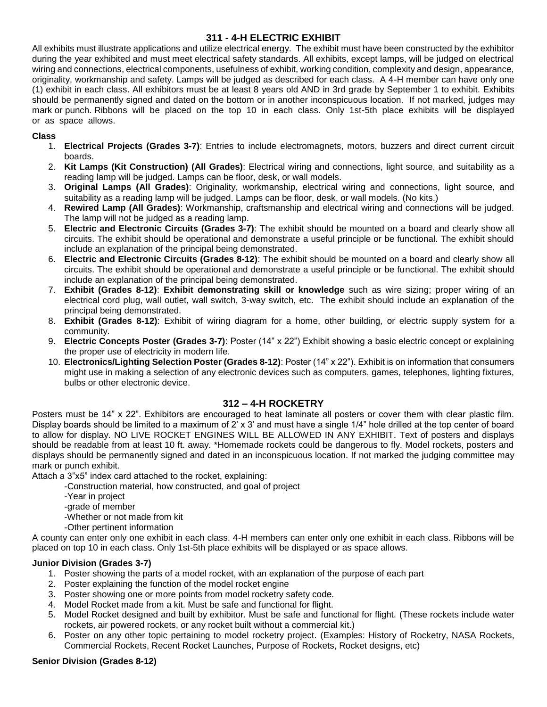# **311 - 4-H ELECTRIC EXHIBIT**

All exhibits must illustrate applications and utilize electrical energy. The exhibit must have been constructed by the exhibitor during the year exhibited and must meet electrical safety standards. All exhibits, except lamps, will be judged on electrical wiring and connections, electrical components, usefulness of exhibit, working condition, complexity and design, appearance, originality, workmanship and safety. Lamps will be judged as described for each class. A 4-H member can have only one (1) exhibit in each class. All exhibitors must be at least 8 years old AND in 3rd grade by September 1 to exhibit. Exhibits should be permanently signed and dated on the bottom or in another inconspicuous location. If not marked, judges may mark or punch. Ribbons will be placed on the top 10 in each class. Only 1st-5th place exhibits will be displayed or as space allows.

#### **Class**

- 1. **Electrical Projects (Grades 3-7)**: Entries to include electromagnets, motors, buzzers and direct current circuit boards.
- 2. **Kit Lamps (Kit Construction) (All Grades)**: Electrical wiring and connections, light source, and suitability as a reading lamp will be judged. Lamps can be floor, desk, or wall models.
- 3. **Original Lamps (All Grades)**: Originality, workmanship, electrical wiring and connections, light source, and suitability as a reading lamp will be judged. Lamps can be floor, desk, or wall models. (No kits.)
- 4. **Rewired Lamp (All Grades)**: Workmanship, craftsmanship and electrical wiring and connections will be judged. The lamp will not be judged as a reading lamp.
- 5. **Electric and Electronic Circuits (Grades 3-7)**: The exhibit should be mounted on a board and clearly show all circuits. The exhibit should be operational and demonstrate a useful principle or be functional. The exhibit should include an explanation of the principal being demonstrated.
- 6. **Electric and Electronic Circuits (Grades 8-12)**: The exhibit should be mounted on a board and clearly show all circuits. The exhibit should be operational and demonstrate a useful principle or be functional. The exhibit should include an explanation of the principal being demonstrated.
- 7. **Exhibit (Grades 8-12)**: **Exhibit demonstrating skill or knowledge** such as wire sizing; proper wiring of an electrical cord plug, wall outlet, wall switch, 3-way switch, etc. The exhibit should include an explanation of the principal being demonstrated.
- 8. **Exhibit (Grades 8-12)**: Exhibit of wiring diagram for a home, other building, or electric supply system for a community.
- 9. **Electric Concepts Poster (Grades 3-7)**: Poster (14" x 22") Exhibit showing a basic electric concept or explaining the proper use of electricity in modern life.
- 10. **Electronics/Lighting Selection Poster (Grades 8-12)**: Poster (14" x 22"). Exhibit is on information that consumers might use in making a selection of any electronic devices such as computers, games, telephones, lighting fixtures, bulbs or other electronic device.

# **312 – 4-H ROCKETRY**

Posters must be 14" x 22". Exhibitors are encouraged to heat laminate all posters or cover them with clear plastic film. Display boards should be limited to a maximum of 2' x 3' and must have a single 1/4" hole drilled at the top center of board to allow for display. NO LIVE ROCKET ENGINES WILL BE ALLOWED IN ANY EXHIBIT. Text of posters and displays should be readable from at least 10 ft. away. \*Homemade rockets could be dangerous to fly. Model rockets, posters and displays should be permanently signed and dated in an inconspicuous location. If not marked the judging committee may mark or punch exhibit.

Attach a 3"x5" index card attached to the rocket, explaining:

- -Construction material, how constructed, and goal of project
- -Year in project
- -grade of member

-Whether or not made from kit

-Other pertinent information

A county can enter only one exhibit in each class. 4-H members can enter only one exhibit in each class. Ribbons will be placed on top 10 in each class. Only 1st-5th place exhibits will be displayed or as space allows.

# **Junior Division (Grades 3-7)**

- 1. Poster showing the parts of a model rocket, with an explanation of the purpose of each part
- 2. Poster explaining the function of the model rocket engine
- 3. Poster showing one or more points from model rocketry safety code.
- 4. Model Rocket made from a kit. Must be safe and functional for flight.
- 5. Model Rocket designed and built by exhibitor. Must be safe and functional for flight. (These rockets include water rockets, air powered rockets, or any rocket built without a commercial kit.)
- 6. Poster on any other topic pertaining to model rocketry project. (Examples: History of Rocketry, NASA Rockets, Commercial Rockets, Recent Rocket Launches, Purpose of Rockets, Rocket designs, etc)

# **Senior Division (Grades 8-12)**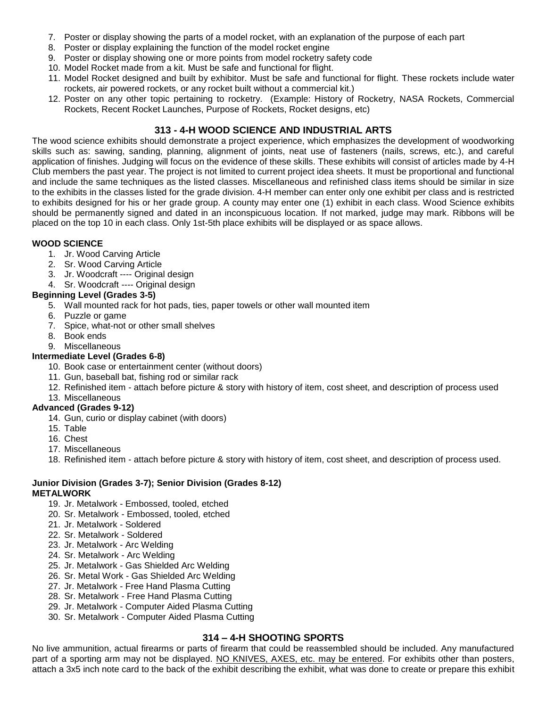- 7. Poster or display showing the parts of a model rocket, with an explanation of the purpose of each part
- 8. Poster or display explaining the function of the model rocket engine
- 9. Poster or display showing one or more points from model rocketry safety code
- 10. Model Rocket made from a kit. Must be safe and functional for flight.
- 11. Model Rocket designed and built by exhibitor. Must be safe and functional for flight. These rockets include water rockets, air powered rockets, or any rocket built without a commercial kit.)
- 12. Poster on any other topic pertaining to rocketry. (Example: History of Rocketry, NASA Rockets, Commercial Rockets, Recent Rocket Launches, Purpose of Rockets, Rocket designs, etc)

# **313 - 4-H WOOD SCIENCE AND INDUSTRIAL ARTS**

The wood science exhibits should demonstrate a project experience, which emphasizes the development of woodworking skills such as: sawing, sanding, planning, alignment of joints, neat use of fasteners (nails, screws, etc.), and careful application of finishes. Judging will focus on the evidence of these skills. These exhibits will consist of articles made by 4-H Club members the past year. The project is not limited to current project idea sheets. It must be proportional and functional and include the same techniques as the listed classes. Miscellaneous and refinished class items should be similar in size to the exhibits in the classes listed for the grade division. 4-H member can enter only one exhibit per class and is restricted to exhibits designed for his or her grade group. A county may enter one (1) exhibit in each class. Wood Science exhibits should be permanently signed and dated in an inconspicuous location. If not marked, judge may mark. Ribbons will be placed on the top 10 in each class. Only 1st-5th place exhibits will be displayed or as space allows.

# **WOOD SCIENCE**

- 1. Jr. Wood Carving Article
- 2. Sr. Wood Carving Article
- 3. Jr. Woodcraft ---- Original design
- 4. Sr. Woodcraft ---- Original design

# **Beginning Level (Grades 3-5)**

- 5. Wall mounted rack for hot pads, ties, paper towels or other wall mounted item
- 6. Puzzle or game
- 7. Spice, what-not or other small shelves
- 8. Book ends
- 9. Miscellaneous

# **Intermediate Level (Grades 6-8)**

- 10. Book case or entertainment center (without doors)
- 11. Gun, baseball bat, fishing rod or similar rack
- 12. Refinished item attach before picture & story with history of item, cost sheet, and description of process used
- 13. Miscellaneous

# **Advanced (Grades 9-12)**

- 14. Gun, curio or display cabinet (with doors)
- 15. Table
- 16. Chest
- 17. Miscellaneous
- 18. Refinished item attach before picture & story with history of item, cost sheet, and description of process used.

#### **Junior Division (Grades 3-7); Senior Division (Grades 8-12) METALWORK**

- 19. Jr. Metalwork Embossed, tooled, etched
- 20. Sr. Metalwork Embossed, tooled, etched
- 21. Jr. Metalwork Soldered
- 22. Sr. Metalwork Soldered
- 23. Jr. Metalwork Arc Welding
- 24. Sr. Metalwork Arc Welding
- 25. Jr. Metalwork Gas Shielded Arc Welding
- 26. Sr. Metal Work Gas Shielded Arc Welding
- 27. Jr. Metalwork Free Hand Plasma Cutting
- 28. Sr. Metalwork Free Hand Plasma Cutting
- 29. Jr. Metalwork Computer Aided Plasma Cutting
- 30. Sr. Metalwork Computer Aided Plasma Cutting

# **314 – 4-H SHOOTING SPORTS**

No live ammunition, actual firearms or parts of firearm that could be reassembled should be included. Any manufactured part of a sporting arm may not be displayed. NO KNIVES, AXES, etc. may be entered. For exhibits other than posters, attach a 3x5 inch note card to the back of the exhibit describing the exhibit, what was done to create or prepare this exhibit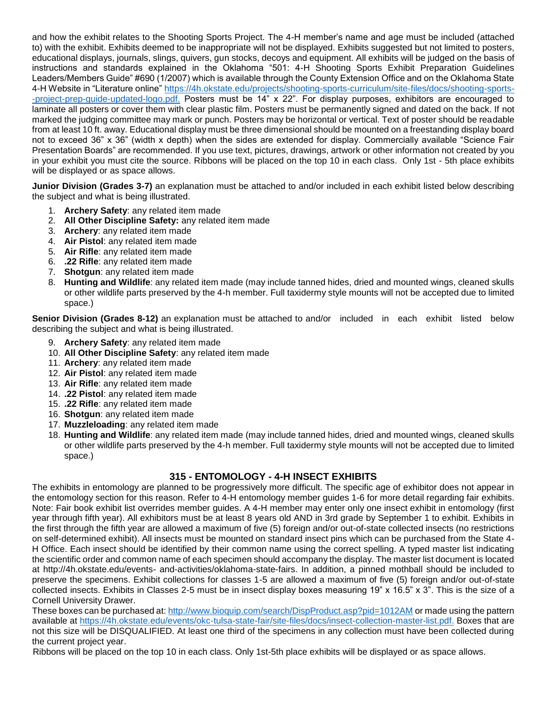and how the exhibit relates to the Shooting Sports Project. The 4-H member's name and age must be included (attached to) with the exhibit. Exhibits deemed to be inappropriate will not be displayed. Exhibits suggested but not limited to posters, educational displays, journals, slings, quivers, gun stocks, decoys and equipment. All exhibits will be judged on the basis of instructions and standards explained in the Oklahoma "501: 4-H Shooting Sports Exhibit Preparation Guidelines Leaders/Members Guide" #690 (1/2007) which is available through the County Extension Office and on the Oklahoma State 4-H Website in "Literature online" [https://4h.okstate.edu/projects/shooting-sports-curriculum/site-files/docs/shooting-sports-](https://4h.okstate.edu/projects/shooting-sports-curriculum/site-files/docs/shooting-sports--project-prep-guide-updated-logo.pdf.) [-project-prep-guide-updated-logo.pdf.](https://4h.okstate.edu/projects/shooting-sports-curriculum/site-files/docs/shooting-sports--project-prep-guide-updated-logo.pdf.) Posters must be 14" x 22". For display purposes, exhibitors are encouraged to laminate all posters or cover them with clear plastic film. Posters must be permanently signed and dated on the back. If not marked the judging committee may mark or punch. Posters may be horizontal or vertical. Text of poster should be readable from at least 10 ft. away. Educational display must be three dimensional should be mounted on a freestanding display board not to exceed 36" x 36" (width x depth) when the sides are extended for display. Commercially available "Science Fair Presentation Boards" are recommended. If you use text, pictures, drawings, artwork or other information not created by you in your exhibit you must cite the source. Ribbons will be placed on the top 10 in each class. Only 1st - 5th place exhibits will be displayed or as space allows.

**Junior Division (Grades 3-7)** an explanation must be attached to and/or included in each exhibit listed below describing the subject and what is being illustrated.

- 1. **Archery Safety**: any related item made
- 2. **All Other Discipline Safety:** any related item made
- 3. **Archery**: any related item made
- 4. **Air Pistol**: any related item made
- 5. **Air Rifle**: any related item made
- 6. **.22 Rifle**: any related item made
- 7. **Shotgun**: any related item made
- 8. **Hunting and Wildlife**: any related item made (may include tanned hides, dried and mounted wings, cleaned skulls or other wildlife parts preserved by the 4-h member. Full taxidermy style mounts will not be accepted due to limited space.)

**Senior Division (Grades 8-12)** an explanation must be attached to and/or included in each exhibit listed below describing the subject and what is being illustrated.

- 9. **Archery Safety**: any related item made
- 10. **All Other Discipline Safety**: any related item made
- 11. **Archery**: any related item made
- 12. **Air Pistol**: any related item made
- 13. **Air Rifle**: any related item made
- 14. **.22 Pistol**: any related item made
- 15. **.22 Rifle**: any related item made
- 16. **Shotgun**: any related item made
- 17. **Muzzleloading**: any related item made
- 18. **Hunting and Wildlife**: any related item made (may include tanned hides, dried and mounted wings, cleaned skulls or other wildlife parts preserved by the 4-h member. Full taxidermy style mounts will not be accepted due to limited space.)

# **315 - ENTOMOLOGY - 4-H INSECT EXHIBITS**

The exhibits in entomology are planned to be progressively more difficult. The specific age of exhibitor does not appear in the entomology section for this reason. Refer to 4-H entomology member guides 1-6 for more detail regarding fair exhibits. Note: Fair book exhibit list overrides member guides. A 4-H member may enter only one insect exhibit in entomology (first year through fifth year). All exhibitors must be at least 8 years old AND in 3rd grade by September 1 to exhibit. Exhibits in the first through the fifth year are allowed a maximum of five (5) foreign and/or out-of-state collected insects (no restrictions on self-determined exhibit). All insects must be mounted on standard insect pins which can be purchased from the State 4- H Office. Each insect should be identified by their common name using the correct spelling. A typed master list indicating the scientific order and common name of each specimen should accompany the display. The master list document is located at http://4h.okstate.edu/events- and-activities/oklahoma-state-fairs. In addition, a pinned mothball should be included to preserve the specimens. Exhibit collections for classes 1-5 are allowed a maximum of five (5) foreign and/or out-of-state collected insects. Exhibits in Classes 2-5 must be in insect display boxes measuring 19" x 16.5" x  $3$ ". This is the size of a Cornell University Drawer.

These boxes can be purchased at: [http://www.bioquip.com/search/DispProduct.asp?pid=1012AM](http://www.bioquip.com/search/DispProduct.asp?pid=1012AM%20) or made using the pattern available at<https://4h.okstate.edu/events/okc-tulsa-state-fair/site-files/docs/insect-collection-master-list.pdf.> Boxes that are not this size will be DISQUALIFIED. At least one third of the specimens in any collection must have been collected during the current project year.

Ribbons will be placed on the top 10 in each class. Only 1st-5th place exhibits will be displayed or as space allows.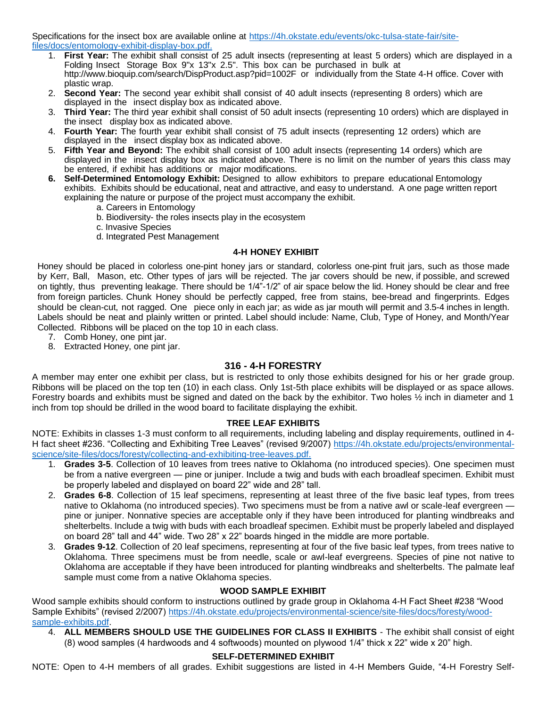Specifications for the insect box are available online at [https://4h.okstate.edu/events/okc-tulsa-state-fair/site](https://4h.okstate.edu/events/okc-tulsa-state-fair/site-files/docs/entomology-exhibit-display-box.pdf.)[files/docs/entomology-exhibit-display-box.pdf.](https://4h.okstate.edu/events/okc-tulsa-state-fair/site-files/docs/entomology-exhibit-display-box.pdf.)

- 1. **First Year:** The exhibit shall consist of 25 adult insects (representing at least 5 orders) which are displayed in a Folding Insect Storage Box 9"x 13"x 2.5". This box can be purchased in bulk at <http://www.bioquip.com/search/DispProduct.asp?pid=1002F> or individually from the State 4-H office. Cover with plastic wrap.
- 2. **Second Year:** The second year exhibit shall consist of 40 adult insects (representing 8 orders) which are displayed in the insect display box as indicated above.
- 3. **Third Year:** The third year exhibit shall consist of 50 adult insects (representing 10 orders) which are displayed in the insect display box as indicated above.
- 4. **Fourth Year:** The fourth year exhibit shall consist of 75 adult insects (representing 12 orders) which are displayed in the insect display box as indicated above.
- 5. **Fifth Year and Beyond:** The exhibit shall consist of 100 adult insects (representing 14 orders) which are displayed in the insect display box as indicated above. There is no limit on the number of years this class may be entered, if exhibit has additions or major modifications.
- **6. Self-Determined Entomology Exhibit:** Designed to allow exhibitors to prepare educational Entomology exhibits. Exhibits should be educational, neat and attractive, and easy to understand. A one page written report explaining the nature or purpose of the project must accompany the exhibit.
	- a. Careers in Entomology
	- b. Biodiversity- the roles insects play in the ecosystem
	- c. Invasive Species
	- d. Integrated Pest Management

#### **4-H HONEY EXHIBIT**

Honey should be placed in colorless one-pint honey jars or standard, colorless one-pint fruit jars, such as those made by Kerr, Ball, Mason, etc. Other types of jars will be rejected. The jar covers should be new, if possible, and screwed on tightly, thus preventing leakage. There should be 1/4"-1/2" of air space below the lid. Honey should be clear and free from foreign particles. Chunk Honey should be perfectly capped, free from stains, bee-bread and fingerprints. Edges should be clean-cut, not ragged. One piece only in each jar; as wide as jar mouth will permit and 3.5-4 inches in length. Labels should be neat and plainly written or printed. Label should include: Name, Club, Type of Honey, and Month/Year Collected. Ribbons will be placed on the top 10 in each class.

- 7. Comb Honey, one pint jar.
- 8. Extracted Honey, one pint jar.

# **316 - 4-H FORESTRY**

A member may enter one exhibit per class, but is restricted to only those exhibits designed for his or her grade group. Ribbons will be placed on the top ten (10) in each class. Only 1st-5th place exhibits will be displayed or as space allows. Forestry boards and exhibits must be signed and dated on the back by the exhibitor. Two holes 1/2 inch in diameter and 1 inch from top should be drilled in the wood board to facilitate displaying the exhibit.

#### **TREE LEAF EXHIBITS**

NOTE: Exhibits in classes 1-3 must conform to all requirements, including labeling and display requirements, outlined in 4- H fact sheet #236. "Collecting and Exhibiting Tree Leaves" (revised 9/2007) [https://4h.okstate.edu/projects/environmental](https://4h.okstate.edu/projects/environmental-science/site-files/docs/foresty/collecting-and-exhibiting-tree-leaves.pdf.)[science/site-files/docs/foresty/collecting-and-exhibiting-tree-leaves.pdf.](https://4h.okstate.edu/projects/environmental-science/site-files/docs/foresty/collecting-and-exhibiting-tree-leaves.pdf.)

- 1. **Grades 3-5**. Collection of 10 leaves from trees native to Oklahoma (no introduced species). One specimen must be from a native evergreen — pine or juniper. Include a twig and buds with each broadleaf specimen. Exhibit must be properly labeled and displayed on board 22" wide and 28" tall.
- 2. **Grades 6-8**. Collection of 15 leaf specimens, representing at least three of the five basic leaf types, from trees native to Oklahoma (no introduced species). Two specimens must be from a native awl or scale-leaf evergreen pine or juniper. Nonnative species are acceptable only if they have been introduced for planting windbreaks and shelterbelts. Include a twig with buds with each broadleaf specimen. Exhibit must be properly labeled and displayed on board 28" tall and 44" wide. Two 28" x 22" boards hinged in the middle are more portable.
- 3. **Grades 9-12**. Collection of 20 leaf specimens, representing at four of the five basic leaf types, from trees native to Oklahoma. Three specimens must be from needle, scale or awl-leaf evergreens. Species of pine not native to Oklahoma are acceptable if they have been introduced for planting windbreaks and shelterbelts. The palmate leaf sample must come from a native Oklahoma species.

# **WOOD SAMPLE EXHIBIT**

Wood sample exhibits should conform to instructions outlined by grade group in Oklahoma 4-H Fact Sheet #238 "Wood Sample Exhibits" (revised 2/2007) [https://4h.okstate.edu/projects/environmental-science/site-files/docs/foresty/wood](https://4h.okstate.edu/projects/environmental-science/site-files/docs/foresty/wood-sample-exhibits.pdf)[sample-exhibits.pdf.](https://4h.okstate.edu/projects/environmental-science/site-files/docs/foresty/wood-sample-exhibits.pdf)

4. **ALL MEMBERS SHOULD USE THE GUIDELINES FOR CLASS II EXHIBITS** - The exhibit shall consist of eight (8) wood samples (4 hardwoods and 4 softwoods) mounted on plywood 1/4" thick x 22" wide x 20" high.

# **SELF-DETERMINED EXHIBIT**

NOTE: Open to 4-H members of all grades. Exhibit suggestions are listed in 4-H Members Guide, "4-H Forestry Self-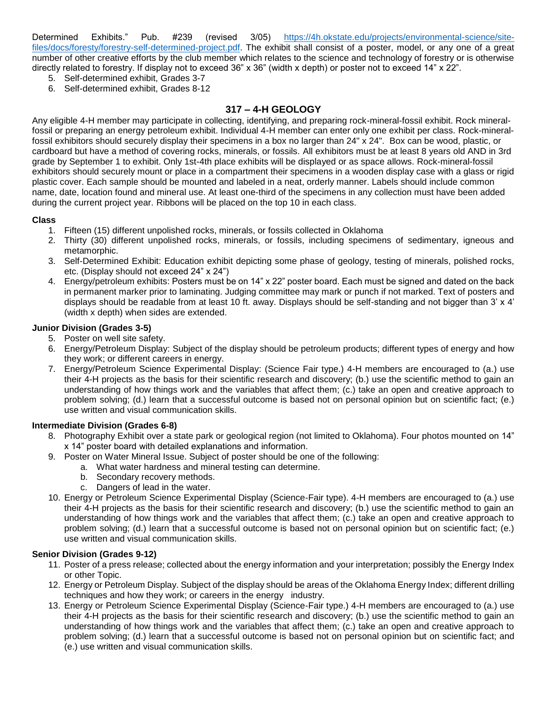Determined Exhibits." Pub. #239 (revised 3/05) [https://4h.okstate.edu/projects/environmental-science/site](https://4h.okstate.edu/projects/environmental-science/site-files/docs/foresty/forestry-self-determined-project.pdf)[files/docs/foresty/forestry-self-determined-project.pdf.](https://4h.okstate.edu/projects/environmental-science/site-files/docs/foresty/forestry-self-determined-project.pdf) The exhibit shall consist of a poster, model, or any one of a great number of other creative efforts by the club member which relates to the science and technology of forestry or is otherwise directly related to forestry. If display not to exceed 36" x 36" (width x depth) or poster not to exceed 14" x 22".

- 5. Self-determined exhibit, Grades 3-7
- 6. Self-determined exhibit, Grades 8-12

# **317 – 4-H GEOLOGY**

Any eligible 4-H member may participate in collecting, identifying, and preparing rock-mineral-fossil exhibit. Rock mineralfossil or preparing an energy petroleum exhibit. Individual 4-H member can enter only one exhibit per class. Rock-mineralfossil exhibitors should securely display their specimens in a box no larger than 24" x 24". Box can be wood, plastic, or cardboard but have a method of covering rocks, minerals, or fossils. All exhibitors must be at least 8 years old AND in 3rd grade by September 1 to exhibit. Only 1st-4th place exhibits will be displayed or as space allows. Rock-mineral-fossil exhibitors should securely mount or place in a compartment their specimens in a wooden display case with a glass or rigid plastic cover. Each sample should be mounted and labeled in a neat, orderly manner. Labels should include common name, date, location found and mineral use. At least one-third of the specimens in any collection must have been added during the current project year. Ribbons will be placed on the top 10 in each class.

#### **Class**

- 1. Fifteen (15) different unpolished rocks, minerals, or fossils collected in Oklahoma
- 2. Thirty (30) different unpolished rocks, minerals, or fossils, including specimens of sedimentary, igneous and metamorphic.
- 3. Self-Determined Exhibit: Education exhibit depicting some phase of geology, testing of minerals, polished rocks, etc. (Display should not exceed 24" x 24")
- 4. Energy/petroleum exhibits: Posters must be on 14" x 22" poster board. Each must be signed and dated on the back in permanent marker prior to laminating. Judging committee may mark or punch if not marked. Text of posters and displays should be readable from at least 10 ft. away. Displays should be self-standing and not bigger than 3' x 4' (width x depth) when sides are extended.

#### **Junior Division (Grades 3-5)**

- 5. Poster on well site safety.
- 6. Energy/Petroleum Display: Subject of the display should be petroleum products; different types of energy and how they work; or different careers in energy.
- 7. Energy/Petroleum Science Experimental Display: (Science Fair type.) 4-H members are encouraged to (a.) use their 4-H projects as the basis for their scientific research and discovery; (b.) use the scientific method to gain an understanding of how things work and the variables that affect them; (c.) take an open and creative approach to problem solving; (d.) learn that a successful outcome is based not on personal opinion but on scientific fact; (e.) use written and visual communication skills.

#### **Intermediate Division (Grades 6-8)**

- 8. Photography Exhibit over a state park or geological region (not limited to Oklahoma). Four photos mounted on 14" x 14" poster board with detailed explanations and information.
- 9. Poster on Water Mineral Issue. Subject of poster should be one of the following:
	- a. What water hardness and mineral testing can determine.
		- b. Secondary recovery methods.
		- c. Dangers of lead in the water.
- 10. Energy or Petroleum Science Experimental Display (Science-Fair type). 4-H members are encouraged to (a.) use their 4-H projects as the basis for their scientific research and discovery; (b.) use the scientific method to gain an understanding of how things work and the variables that affect them; (c.) take an open and creative approach to problem solving; (d.) learn that a successful outcome is based not on personal opinion but on scientific fact; (e.) use written and visual communication skills.

#### **Senior Division (Grades 9-12)**

- 11. Poster of a press release; collected about the energy information and your interpretation; possibly the Energy Index or other Topic.
- 12. Energy or Petroleum Display. Subject of the display should be areas of the Oklahoma Energy Index; different drilling techniques and how they work; or careers in the energy industry.
- 13. Energy or Petroleum Science Experimental Display (Science-Fair type.) 4-H members are encouraged to (a.) use their 4-H projects as the basis for their scientific research and discovery; (b.) use the scientific method to gain an understanding of how things work and the variables that affect them; (c.) take an open and creative approach to problem solving; (d.) learn that a successful outcome is based not on personal opinion but on scientific fact; and (e.) use written and visual communication skills.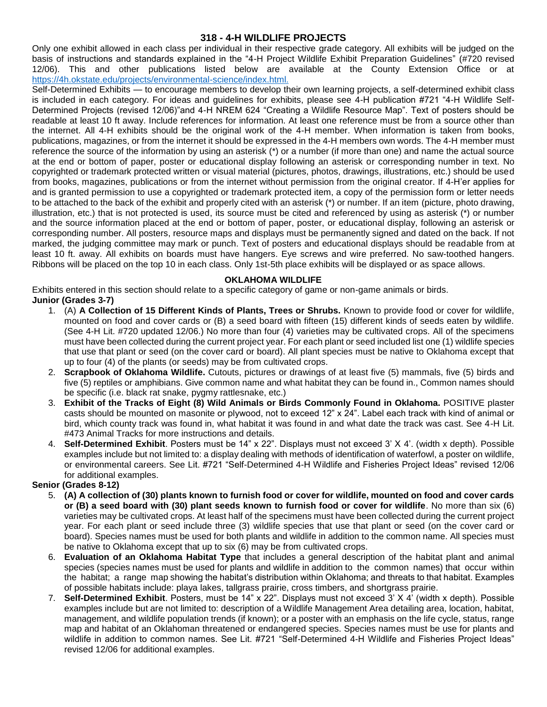#### **318 - 4-H WILDLIFE PROJECTS**

Only one exhibit allowed in each class per individual in their respective grade category. All exhibits will be judged on the basis of instructions and standards explained in the "4-H Project Wildlife Exhibit Preparation Guidelines" (#720 revised 12/06). This and other publications listed below are available at the County Extension Office or at <https://4h.okstate.edu/projects/environmental-science/index.html.>

Self-Determined Exhibits — to encourage members to develop their own learning projects, a self-determined exhibit class is included in each category. For ideas and guidelines for exhibits, please see 4-H publication #721 "4-H Wildlife Self-Determined Projects (revised 12/06)"and 4-H NREM 624 "Creating a Wildlife Resource Map". Text of posters should be readable at least 10 ft away. Include references for information. At least one reference must be from a source other than the internet. All 4-H exhibits should be the original work of the 4-H member. When information is taken from books, publications, magazines, or from the internet it should be expressed in the 4-H members own words. The 4-H member must reference the source of the information by using an asterisk (\*) or a number (if more than one) and name the actual source at the end or bottom of paper, poster or educational display following an asterisk or corresponding number in text. No copyrighted or trademark protected written or visual material (pictures, photos, drawings, illustrations, etc.) should be used from books, magazines, publications or from the internet without permission from the original creator. If 4-H'er applies for and is granted permission to use a copyrighted or trademark protected item, a copy of the permission form or letter needs to be attached to the back of the exhibit and properly cited with an asterisk (\*) or number. If an item (picture, photo drawing, illustration, etc.) that is not protected is used, its source must be cited and referenced by using as asterisk (\*) or number and the source information placed at the end or bottom of paper, poster, or educational display, following an asterisk or corresponding number. All posters, resource maps and displays must be permanently signed and dated on the back. If not marked, the judging committee may mark or punch. Text of posters and educational displays should be readable from at least 10 ft. away. All exhibits on boards must have hangers. Eye screws and wire preferred. No saw-toothed hangers. Ribbons will be placed on the top 10 in each class. Only 1st-5th place exhibits will be displayed or as space allows.

# **OKLAHOMA WILDLIFE**

Exhibits entered in this section should relate to a specific category of game or non-game animals or birds. **Junior (Grades 3-7)**

- 1. (A) **A Collection of 15 Different Kinds of Plants, Trees or Shrubs.** Known to provide food or cover for wildlife, mounted on food and cover cards or (B) a seed board with fifteen (15) different kinds of seeds eaten by wildlife. (See 4-H Lit. #720 updated 12/06.) No more than four (4) varieties may be cultivated crops. All of the specimens must have been collected during the current project year. For each plant or seed included list one (1) wildlife species that use that plant or seed (on the cover card or board). All plant species must be native to Oklahoma except that up to four (4) of the plants (or seeds) may be from cultivated crops.
- 2. **Scrapbook of Oklahoma Wildlife.** Cutouts, pictures or drawings of at least five (5) mammals, five (5) birds and five (5) reptiles or amphibians. Give common name and what habitat they can be found in., Common names should be specific (i.e. black rat snake, pygmy rattlesnake, etc.)
- 3. **Exhibit of the Tracks of Eight (8) Wild Animals or Birds Commonly Found in Oklahoma.** POSITIVE plaster casts should be mounted on masonite or plywood, not to exceed 12" x 24". Label each track with kind of animal or bird, which county track was found in, what habitat it was found in and what date the track was cast. See 4-H Lit. #473 Animal Tracks for more instructions and details.
- 4. **Self-Determined Exhibit**. Posters must be 14" x 22". Displays must not exceed 3' X 4'. (width x depth). Possible examples include but not limited to: a display dealing with methods of identification of waterfowl, a poster on wildlife, or environmental careers. See Lit. #721 "Self-Determined 4-H Wildlife and Fisheries Project Ideas" revised 12/06 for additional examples.

# **Senior (Grades 8-12)**

- 5. **(A) A collection of (30) plants known to furnish food or cover for wildlife, mounted on food and cover cards or (B) a seed board with (30) plant seeds known to furnish food or cover for wildlife**. No more than six (6) varieties may be cultivated crops. At least half of the specimens must have been collected during the current project year. For each plant or seed include three (3) wildlife species that use that plant or seed (on the cover card or board). Species names must be used for both plants and wildlife in addition to the common name. All species must be native to Oklahoma except that up to six (6) may be from cultivated crops.
- 6. **Evaluation of an Oklahoma Habitat Type** that includes a general description of the habitat plant and animal species (species names must be used for plants and wildlife in addition to the common names) that occur within the habitat; a range map showing the habitat's distribution within Oklahoma; and threats to that habitat. Examples of possible habitats include: playa lakes, tallgrass prairie, cross timbers, and shortgrass prairie.
- 7. **Self-Determined Exhibit**. Posters, must be 14" x 22". Displays must not exceed 3' X 4' (width x depth). Possible examples include but are not limited to: description of a Wildlife Management Area detailing area, location, habitat, management, and wildlife population trends (if known); or a poster with an emphasis on the life cycle, status, range map and habitat of an Oklahoman threatened or endangered species. Species names must be use for plants and wildlife in addition to common names. See Lit. #721 "Self-Determined 4-H Wildlife and Fisheries Project Ideas" revised 12/06 for additional examples.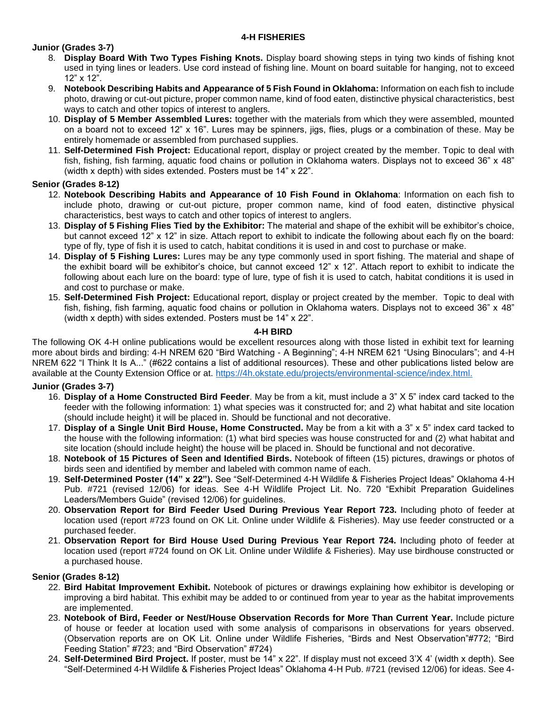#### **4-H FISHERIES**

# **Junior (Grades 3-7)**

- 8. **Display Board With Two Types Fishing Knots.** Display board showing steps in tying two kinds of fishing knot used in tying lines or leaders. Use cord instead of fishing line. Mount on board suitable for hanging, not to exceed 12" x 12".
- 9. **Notebook Describing Habits and Appearance of 5 Fish Found in Oklahoma:** Information on each fish to include photo, drawing or cut-out picture, proper common name, kind of food eaten, distinctive physical characteristics, best ways to catch and other topics of interest to anglers.
- 10. **Display of 5 Member Assembled Lures:** together with the materials from which they were assembled, mounted on a board not to exceed 12" x 16". Lures may be spinners, jigs, flies, plugs or a combination of these. May be entirely homemade or assembled from purchased supplies.
- 11. **Self-Determined Fish Project:** Educational report, display or project created by the member. Topic to deal with fish, fishing, fish farming, aquatic food chains or pollution in Oklahoma waters. Displays not to exceed 36" x 48" (width x depth) with sides extended. Posters must be 14" x 22".

# **Senior (Grades 8-12)**

- 12. **Notebook Describing Habits and Appearance of 10 Fish Found in Oklahoma**: Information on each fish to include photo, drawing or cut-out picture, proper common name, kind of food eaten, distinctive physical characteristics, best ways to catch and other topics of interest to anglers.
- 13. **Display of 5 Fishing Flies Tied by the Exhibitor:** The material and shape of the exhibit will be exhibitor's choice, but cannot exceed 12" x 12" in size. Attach report to exhibit to indicate the following about each fly on the board: type of fly, type of fish it is used to catch, habitat conditions it is used in and cost to purchase or make.
- 14. **Display of 5 Fishing Lures:** Lures may be any type commonly used in sport fishing. The material and shape of the exhibit board will be exhibitor's choice, but cannot exceed 12" x 12". Attach report to exhibit to indicate the following about each lure on the board: type of lure, type of fish it is used to catch, habitat conditions it is used in and cost to purchase or make.
- 15. **Self-Determined Fish Project:** Educational report, display or project created by the member. Topic to deal with fish, fishing, fish farming, aquatic food chains or pollution in Oklahoma waters. Displays not to exceed 36" x 48" (width x depth) with sides extended. Posters must be 14" x 22".

#### **4-H BIRD**

The following OK 4-H online publications would be excellent resources along with those listed in exhibit text for learning more about birds and birding: 4-H NREM 620 "Bird Watching - A Beginning"; 4-H NREM 621 "Using Binoculars"; and 4-H NREM 622 "I Think It Is A..." (#622 contains a list of additional resources). These and other publications listed below are available at the County Extension Office or at. <https://4h.okstate.edu/projects/environmental-science/index.html.>

# **Junior (Grades 3-7)**

- 16. **Display of a Home Constructed Bird Feeder**. May be from a kit, must include a 3" X 5" index card tacked to the feeder with the following information: 1) what species was it constructed for; and 2) what habitat and site location (should include height) it will be placed in. Should be functional and not decorative.
- 17. **Display of a Single Unit Bird House, Home Constructed.** May be from a kit with a 3" x 5" index card tacked to the house with the following information: (1) what bird species was house constructed for and (2) what habitat and site location (should include height) the house will be placed in. Should be functional and not decorative.
- 18. **Notebook of 15 Pictures of Seen and Identified Birds.** Notebook of fifteen (15) pictures, drawings or photos of birds seen and identified by member and labeled with common name of each.
- 19. **Self-Determined Poster (14" x 22").** See "Self-Determined 4-H Wildlife & Fisheries Project Ideas" Oklahoma 4-H Pub. #721 (revised 12/06) for ideas. See 4-H Wildlife Project Lit. No. 720 "Exhibit Preparation Guidelines Leaders/Members Guide" (revised 12/06) for guidelines.
- 20. **Observation Report for Bird Feeder Used During Previous Year Report 723.** Including photo of feeder at location used (report #723 found on OK Lit. Online under Wildlife & Fisheries). May use feeder constructed or a purchased feeder.
- 21. **Observation Report for Bird House Used During Previous Year Report 724.** Including photo of feeder at location used (report #724 found on OK Lit. Online under Wildlife & Fisheries). May use birdhouse constructed or a purchased house.

# **Senior (Grades 8-12)**

- 22. **Bird Habitat Improvement Exhibit.** Notebook of pictures or drawings explaining how exhibitor is developing or improving a bird habitat. This exhibit may be added to or continued from year to year as the habitat improvements are implemented.
- 23. **Notebook of Bird, Feeder or Nest/House Observation Records for More Than Current Year.** Include picture of house or feeder at location used with some analysis of comparisons in observations for years observed. (Observation reports are on OK Lit. Online under Wildlife Fisheries, "Birds and Nest Observation"#772; "Bird Feeding Station" #723; and "Bird Observation" #724)
- 24. **Self-Determined Bird Project.** If poster, must be 14" x 22". If display must not exceed 3'X 4' (width x depth). See "Self-Determined 4-H Wildlife & Fisheries Project Ideas" Oklahoma 4-H Pub. #721 (revised 12/06) for ideas. See 4-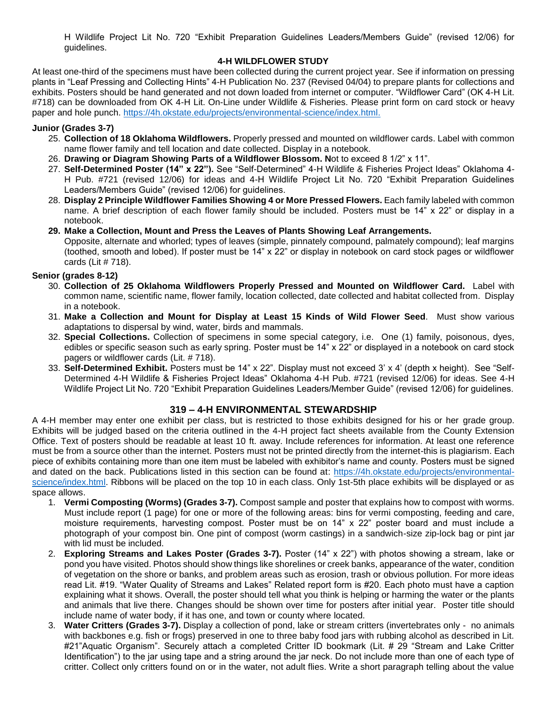H Wildlife Project Lit No. 720 "Exhibit Preparation Guidelines Leaders/Members Guide" (revised 12/06) for guidelines.

# **4-H WILDFLOWER STUDY**

At least one-third of the specimens must have been collected during the current project year. See if information on pressing plants in "Leaf Pressing and Collecting Hints" 4-H Publication No. 237 (Revised 04/04) to prepare plants for collections and exhibits. Posters should be hand generated and not down loaded from internet or computer. "Wildflower Card" (OK 4-H Lit. #718) can be downloaded from OK 4-H Lit. On-Line under Wildlife & Fisheries. Please print form on card stock or heavy paper and hole punch.<https://4h.okstate.edu/projects/environmental-science/index.html.>

# **Junior (Grades 3-7)**

- 25. **Collection of 18 Oklahoma Wildflowers.** Properly pressed and mounted on wildflower cards. Label with common name flower family and tell location and date collected. Display in a notebook.
- 26. **Drawing or Diagram Showing Parts of a Wildflower Blossom. N**ot to exceed 8 1/2" x 11".
- 27. **Self-Determined Poster (14" x 22").** See "Self-Determined" 4-H Wildlife & Fisheries Project Ideas" Oklahoma 4- H Pub. #721 (revised 12/06) for ideas and 4-H Wildlife Project Lit No. 720 "Exhibit Preparation Guidelines Leaders/Members Guide" (revised 12/06) for guidelines.
- 28. **Display 2 Principle Wildflower Families Showing 4 or More Pressed Flowers.** Each family labeled with common name. A brief description of each flower family should be included. Posters must be 14" x 22" or display in a notebook.
- **29. Make a Collection, Mount and Press the Leaves of Plants Showing Leaf Arrangements.**

Opposite, alternate and whorled; types of leaves (simple, pinnately compound, palmately compound); leaf margins (toothed, smooth and lobed). If poster must be 14" x 22" or display in notebook on card stock pages or wildflower cards (Lit # 718).

# **Senior (grades 8-12)**

- 30. **Collection of 25 Oklahoma Wildflowers Properly Pressed and Mounted on Wildflower Card.** Label with common name, scientific name, flower family, location collected, date collected and habitat collected from. Display in a notebook.
- 31. **Make a Collection and Mount for Display at Least 15 Kinds of Wild Flower Seed**. Must show various adaptations to dispersal by wind, water, birds and mammals.
- 32. **Special Collections.** Collection of specimens in some special category, i.e. One (1) family, poisonous, dyes, edibles or specific season such as early spring. Poster must be 14" x 22" or displayed in a notebook on card stock pagers or wildflower cards (Lit. # 718).
- 33. **Self-Determined Exhibit.** Posters must be 14" x 22". Display must not exceed 3' x 4' (depth x height). See "Self-Determined 4-H Wildlife & Fisheries Project Ideas" Oklahoma 4-H Pub. #721 (revised 12/06) for ideas. See 4-H Wildlife Project Lit No. 720 "Exhibit Preparation Guidelines Leaders/Member Guide" (revised 12/06) for guidelines.

# **319 – 4-H ENVIRONMENTAL STEWARDSHIP**

A 4-H member may enter one exhibit per class, but is restricted to those exhibits designed for his or her grade group. Exhibits will be judged based on the criteria outlined in the 4-H project fact sheets available from the County Extension Office. Text of posters should be readable at least 10 ft. away. Include references for information. At least one reference must be from a source other than the internet. Posters must not be printed directly from the internet-this is plagiarism. Each piece of exhibits containing more than one item must be labeled with exhibitor's name and county. Posters must be signed and dated on the back. Publications listed in this section can be found at: [https://4h.okstate.edu/projects/environmental](https://4h.okstate.edu/projects/environmental-science/index.html)[science/index.html.](https://4h.okstate.edu/projects/environmental-science/index.html) Ribbons will be placed on the top 10 in each class. Only 1st-5th place exhibits will be displayed or as space allows.

- 1. **Vermi Composting (Worms) (Grades 3-7).** Compost sample and poster that explains how to compost with worms. Must include report (1 page) for one or more of the following areas: bins for vermi composting, feeding and care, moisture requirements, harvesting compost. Poster must be on 14" x 22" poster board and must include a photograph of your compost bin. One pint of compost (worm castings) in a sandwich-size zip-lock bag or pint jar with lid must be included.
- 2. **Exploring Streams and Lakes Poster (Grades 3-7).** Poster (14" x 22") with photos showing a stream, lake or pond you have visited. Photos should show things like shorelines or creek banks, appearance of the water, condition of vegetation on the shore or banks, and problem areas such as erosion, trash or obvious pollution. For more ideas read Lit. #19. "Water Quality of Streams and Lakes" Related report form is #20. Each photo must have a caption explaining what it shows. Overall, the poster should tell what you think is helping or harming the water or the plants and animals that live there. Changes should be shown over time for posters after initial year. Poster title should include name of water body, if it has one, and town or county where located.
- 3. **Water Critters (Grades 3-7).** Display a collection of pond, lake or stream critters (invertebrates only no animals with backbones e.g. fish or frogs) preserved in one to three baby food jars with rubbing alcohol as described in Lit. #21"Aquatic Organism". Securely attach a completed Critter ID bookmark (Lit. # 29 "Stream and Lake Critter Identification") to the jar using tape and a string around the jar neck. Do not include more than one of each type of critter. Collect only critters found on or in the water, not adult flies. Write a short paragraph telling about the value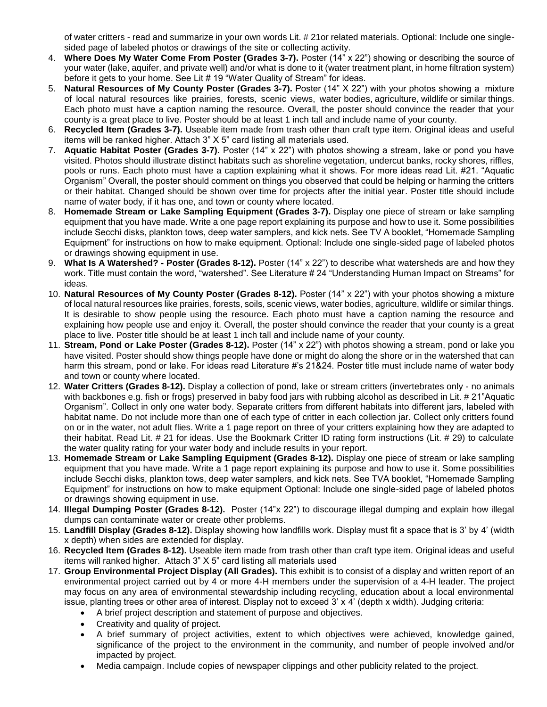of water critters - read and summarize in your own words Lit. # 21or related materials. Optional: Include one singlesided page of labeled photos or drawings of the site or collecting activity.

- 4. **Where Does My Water Come From Poster (Grades 3-7).** Poster (14" x 22") showing or describing the source of your water (lake, aquifer, and private well) and/or what is done to it (water treatment plant, in home filtration system) before it gets to your home. See Lit # 19 "Water Quality of Stream" for ideas.
- 5. **Natural Resources of My County Poster (Grades 3-7).** Poster (14" X 22") with your photos showing a mixture of local natural resources like prairies, forests, scenic views, water bodies, agriculture, wildlife or similar things. Each photo must have a caption naming the resource. Overall, the poster should convince the reader that your county is a great place to live. Poster should be at least 1 inch tall and include name of your county.
- 6. **Recycled Item (Grades 3-7).** Useable item made from trash other than craft type item. Original ideas and useful items will be ranked higher. Attach 3" X 5" card listing all materials used.
- 7. **Aquatic Habitat Poster (Grades 3-7).** Poster (14" x 22") with photos showing a stream, lake or pond you have visited. Photos should illustrate distinct habitats such as shoreline vegetation, undercut banks, rocky shores, riffles, pools or runs. Each photo must have a caption explaining what it shows. For more ideas read Lit. #21. "Aquatic Organism" Overall, the poster should comment on things you observed that could be helping or harming the critters or their habitat. Changed should be shown over time for projects after the initial year. Poster title should include name of water body, if it has one, and town or county where located.
- 8. **Homemade Stream or Lake Sampling Equipment (Grades 3-7).** Display one piece of stream or lake sampling equipment that you have made. Write a one page report explaining its purpose and how to use it. Some possibilities include Secchi disks, plankton tows, deep water samplers, and kick nets. See TV A booklet, "Homemade Sampling Equipment" for instructions on how to make equipment. Optional: Include one single-sided page of labeled photos or drawings showing equipment in use.
- 9. **What Is A Watershed? - Poster (Grades 8-12).** Poster (14" x 22") to describe what watersheds are and how they work. Title must contain the word, "watershed". See Literature # 24 "Understanding Human Impact on Streams" for ideas.
- 10. **Natural Resources of My County Poster (Grades 8-12).** Poster (14" x 22") with your photos showing a mixture of local natural resources like prairies, forests, soils, scenic views, water bodies, agriculture, wildlife or similar things. It is desirable to show people using the resource. Each photo must have a caption naming the resource and explaining how people use and enjoy it. Overall, the poster should convince the reader that your county is a great place to live. Poster title should be at least 1 inch tall and include name of your county.
- 11. **Stream, Pond or Lake Poster (Grades 8-12).** Poster (14" x 22") with photos showing a stream, pond or lake you have visited. Poster should show things people have done or might do along the shore or in the watershed that can harm this stream, pond or lake. For ideas read Literature #'s 21&24. Poster title must include name of water body and town or county where located.
- 12. **Water Critters (Grades 8-12).** Display a collection of pond, lake or stream critters (invertebrates only no animals with backbones e.g. fish or frogs) preserved in baby food jars with rubbing alcohol as described in Lit. #21"Aquatic Organism". Collect in only one water body. Separate critters from different habitats into different jars, labeled with habitat name. Do not include more than one of each type of critter in each collection jar. Collect only critters found on or in the water, not adult flies. Write a 1 page report on three of your critters explaining how they are adapted to their habitat. Read Lit. # 21 for ideas. Use the Bookmark Critter ID rating form instructions (Lit. # 29) to calculate the water quality rating for your water body and include results in your report.
- 13. **Homemade Stream or Lake Sampling Equipment (Grades 8-12).** Display one piece of stream or lake sampling equipment that you have made. Write a 1 page report explaining its purpose and how to use it. Some possibilities include Secchi disks, plankton tows, deep water samplers, and kick nets. See TVA booklet, "Homemade Sampling Equipment" for instructions on how to make equipment Optional: Include one single-sided page of labeled photos or drawings showing equipment in use.
- 14. **Illegal Dumping Poster (Grades 8-12).** Poster (14"x 22") to discourage illegal dumping and explain how illegal dumps can contaminate water or create other problems.
- 15. **Landfill Display (Grades 8-12).** Display showing how landfills work. Display must fit a space that is 3' by 4' (width x depth) when sides are extended for display.
- 16. **Recycled Item (Grades 8-12).** Useable item made from trash other than craft type item. Original ideas and useful items will ranked higher. Attach 3" X 5" card listing all materials used
- 17. **Group Environmental Project Display (All Grades).** This exhibit is to consist of a display and written report of an environmental project carried out by 4 or more 4-H members under the supervision of a 4-H leader. The project may focus on any area of environmental stewardship including recycling, education about a local environmental issue, planting trees or other area of interest. Display not to exceed 3' x 4' (depth x width). Judging criteria:
	- A brief project description and statement of purpose and objectives.
	- Creativity and quality of project.
	- A brief summary of project activities, extent to which objectives were achieved, knowledge gained, significance of the project to the environment in the community, and number of people involved and/or impacted by project.
	- Media campaign. Include copies of newspaper clippings and other publicity related to the project.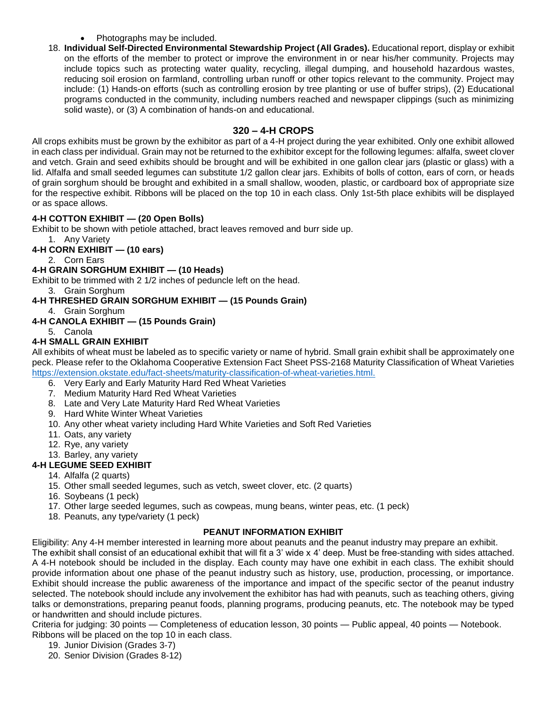- Photographs may be included.
- 18. **Individual Self-Directed Environmental Stewardship Project (All Grades).** Educational report, display or exhibit on the efforts of the member to protect or improve the environment in or near his/her community. Projects may include topics such as protecting water quality, recycling, illegal dumping, and household hazardous wastes, reducing soil erosion on farmland, controlling urban runoff or other topics relevant to the community. Project may include: (1) Hands-on efforts (such as controlling erosion by tree planting or use of buffer strips), (2) Educational programs conducted in the community, including numbers reached and newspaper clippings (such as minimizing solid waste), or (3) A combination of hands-on and educational.

# **320 – 4-H CROPS**

All crops exhibits must be grown by the exhibitor as part of a 4-H project during the year exhibited. Only one exhibit allowed in each class per individual. Grain may not be returned to the exhibitor except for the following legumes: alfalfa, sweet clover and vetch. Grain and seed exhibits should be brought and will be exhibited in one gallon clear jars (plastic or glass) with a lid. Alfalfa and small seeded legumes can substitute 1/2 gallon clear jars. Exhibits of bolls of cotton, ears of corn, or heads of grain sorghum should be brought and exhibited in a small shallow, wooden, plastic, or cardboard box of appropriate size for the respective exhibit. Ribbons will be placed on the top 10 in each class. Only 1st-5th place exhibits will be displayed or as space allows.

# **4-H COTTON EXHIBIT — (20 Open Bolls)**

Exhibit to be shown with petiole attached, bract leaves removed and burr side up.

1. Any Variety

# **4-H CORN EXHIBIT — (10 ears)**

2. Corn Ears

# **4-H GRAIN SORGHUM EXHIBIT — (10 Heads)**

Exhibit to be trimmed with 2 1/2 inches of peduncle left on the head.

#### 3. Grain Sorghum

# **4-H THRESHED GRAIN SORGHUM EXHIBIT — (15 Pounds Grain)**

4. Grain Sorghum

**4-H CANOLA EXHIBIT — (15 Pounds Grain)**

# 5. Canola

# **4-H SMALL GRAIN EXHIBIT**

All exhibits of wheat must be labeled as to specific variety or name of hybrid. Small grain exhibit shall be approximately one peck. Please refer to the Oklahoma Cooperative Extension Fact Sheet PSS-2168 Maturity Classification of Wheat Varieties <https://extension.okstate.edu/fact-sheets/maturity-classification-of-wheat-varieties.html.>

- 6. Very Early and Early Maturity Hard Red Wheat Varieties
- 7. Medium Maturity Hard Red Wheat Varieties
- 8. Late and Very Late Maturity Hard Red Wheat Varieties
- 9. Hard White Winter Wheat Varieties
- 10. Any other wheat variety including Hard White Varieties and Soft Red Varieties
- 11. Oats, any variety
- 12. Rye, any variety
- 13. Barley, any variety

# **4-H LEGUME SEED EXHIBIT**

- 14. Alfalfa (2 quarts)
- 15. Other small seeded legumes, such as vetch, sweet clover, etc. (2 quarts)
- 16. Soybeans (1 peck)
- 17. Other large seeded legumes, such as cowpeas, mung beans, winter peas, etc. (1 peck)
- 18. Peanuts, any type/variety (1 peck)

# **PEANUT INFORMATION EXHIBIT**

Eligibility: Any 4-H member interested in learning more about peanuts and the peanut industry may prepare an exhibit. The exhibit shall consist of an educational exhibit that will fit a 3' wide x 4' deep. Must be free-standing with sides attached. A 4-H notebook should be included in the display. Each county may have one exhibit in each class. The exhibit should provide information about one phase of the peanut industry such as history, use, production, processing, or importance. Exhibit should increase the public awareness of the importance and impact of the specific sector of the peanut industry selected. The notebook should include any involvement the exhibitor has had with peanuts, such as teaching others, giving talks or demonstrations, preparing peanut foods, planning programs, producing peanuts, etc. The notebook may be typed or handwritten and should include pictures.

Criteria for judging: 30 points — Completeness of education lesson, 30 points — Public appeal, 40 points — Notebook. Ribbons will be placed on the top 10 in each class.

- 19. Junior Division (Grades 3-7)
- 20. Senior Division (Grades 8-12)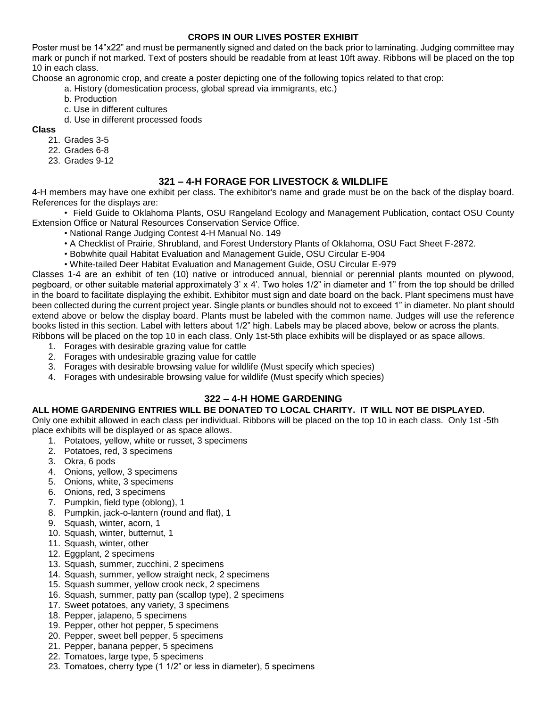#### **CROPS IN OUR LIVES POSTER EXHIBIT**

Poster must be 14"x22" and must be permanently signed and dated on the back prior to laminating. Judging committee may mark or punch if not marked. Text of posters should be readable from at least 10ft away. Ribbons will be placed on the top 10 in each class.

Choose an agronomic crop, and create a poster depicting one of the following topics related to that crop:

- a. History (domestication process, global spread via immigrants, etc.)
- b. Production
- c. Use in different cultures
- d. Use in different processed foods

#### **Class**

21. Grades 3-5

- 22. Grades 6-8
- 23. Grades 9-12

# **321 – 4-H FORAGE FOR LIVESTOCK & WILDLIFE**

4-H members may have one exhibit per class. The exhibitor's name and grade must be on the back of the display board. References for the displays are:

• Field Guide to Oklahoma Plants, OSU Rangeland Ecology and Management Publication, contact OSU County Extension Office or Natural Resources Conservation Service Office.

- National Range Judging Contest 4-H Manual No. 149
- A Checklist of Prairie, Shrubland, and Forest Understory Plants of Oklahoma, OSU Fact Sheet F-2872.
- Bobwhite quail Habitat Evaluation and Management Guide, OSU Circular E-904
- White-tailed Deer Habitat Evaluation and Management Guide, OSU Circular E-979

Classes 1-4 are an exhibit of ten (10) native or introduced annual, biennial or perennial plants mounted on plywood, pegboard, or other suitable material approximately 3' x 4'. Two holes 1/2" in diameter and 1" from the top should be drilled in the board to facilitate displaying the exhibit. Exhibitor must sign and date board on the back. Plant specimens must have been collected during the current project year. Single plants or bundles should not to exceed 1" in diameter. No plant should extend above or below the display board. Plants must be labeled with the common name. Judges will use the reference books listed in this section. Label with letters about 1/2" high. Labels may be placed above, below or across the plants. Ribbons will be placed on the top 10 in each class. Only 1st-5th place exhibits will be displayed or as space allows.

- 1. Forages with desirable grazing value for cattle
- 2. Forages with undesirable grazing value for cattle
- 3. Forages with desirable browsing value for wildlife (Must specify which species)
- 4. Forages with undesirable browsing value for wildlife (Must specify which species)

# **322 – 4-H HOME GARDENING**

#### **ALL HOME GARDENING ENTRIES WILL BE DONATED TO LOCAL CHARITY. IT WILL NOT BE DISPLAYED.**

Only one exhibit allowed in each class per individual. Ribbons will be placed on the top 10 in each class. Only 1st -5th place exhibits will be displayed or as space allows.

- 1. Potatoes, yellow, white or russet, 3 specimens
- 2. Potatoes, red, 3 specimens
- 3. Okra, 6 pods
- 4. Onions, yellow, 3 specimens
- 5. Onions, white, 3 specimens
- 6. Onions, red, 3 specimens
- 7. Pumpkin, field type (oblong), 1
- 8. Pumpkin, jack-o-lantern (round and flat), 1
- 9. Squash, winter, acorn, 1
- 10. Squash, winter, butternut, 1
- 11. Squash, winter, other
- 12. Eggplant, 2 specimens
- 13. Squash, summer, zucchini, 2 specimens
- 14. Squash, summer, yellow straight neck, 2 specimens
- 15. Squash summer, yellow crook neck, 2 specimens
- 16. Squash, summer, patty pan (scallop type), 2 specimens
- 17. Sweet potatoes, any variety, 3 specimens
- 18. Pepper, jalapeno, 5 specimens
- 19. Pepper, other hot pepper, 5 specimens
- 20. Pepper, sweet bell pepper, 5 specimens
- 21. Pepper, banana pepper, 5 specimens
- 22. Tomatoes, large type, 5 specimens
- 23. Tomatoes, cherry type (1 1/2" or less in diameter), 5 specimens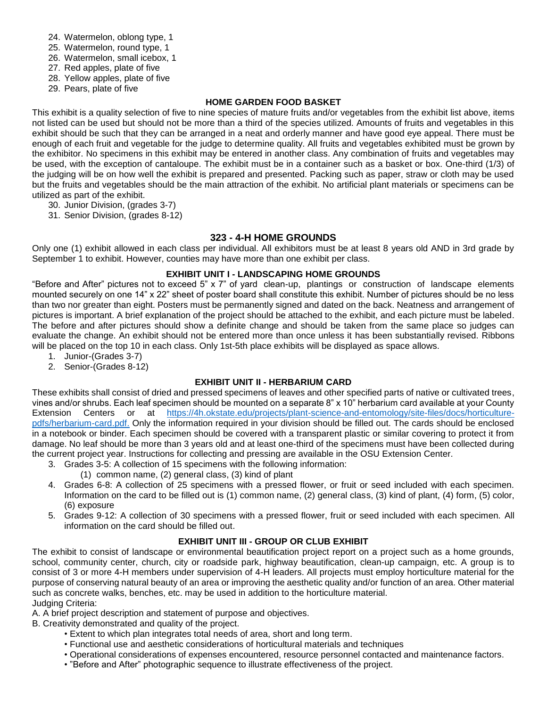- 24. Watermelon, oblong type, 1
- 25. Watermelon, round type, 1
- 26. Watermelon, small icebox, 1
- 27. Red apples, plate of five
- 28. Yellow apples, plate of five
- 29. Pears, plate of five

#### **HOME GARDEN FOOD BASKET**

This exhibit is a quality selection of five to nine species of mature fruits and/or vegetables from the exhibit list above, items not listed can be used but should not be more than a third of the species utilized. Amounts of fruits and vegetables in this exhibit should be such that they can be arranged in a neat and orderly manner and have good eye appeal. There must be enough of each fruit and vegetable for the judge to determine quality. All fruits and vegetables exhibited must be grown by the exhibitor. No specimens in this exhibit may be entered in another class. Any combination of fruits and vegetables may be used, with the exception of cantaloupe. The exhibit must be in a container such as a basket or box. One-third (1/3) of the judging will be on how well the exhibit is prepared and presented. Packing such as paper, straw or cloth may be used but the fruits and vegetables should be the main attraction of the exhibit. No artificial plant materials or specimens can be utilized as part of the exhibit.

- 30. Junior Division, (grades 3-7)
- 31. Senior Division, (grades 8-12)

# **323 - 4-H HOME GROUNDS**

Only one (1) exhibit allowed in each class per individual. All exhibitors must be at least 8 years old AND in 3rd grade by September 1 to exhibit. However, counties may have more than one exhibit per class.

#### **EXHIBIT UNIT I - LANDSCAPING HOME GROUNDS**

"Before and After" pictures not to exceed 5" x 7" of yard clean-up, plantings or construction of landscape elements mounted securely on one 14" x 22" sheet of poster board shall constitute this exhibit. Number of pictures should be no less than two nor greater than eight. Posters must be permanently signed and dated on the back. Neatness and arrangement of pictures is important. A brief explanation of the project should be attached to the exhibit, and each picture must be labeled. The before and after pictures should show a definite change and should be taken from the same place so judges can evaluate the change. An exhibit should not be entered more than once unless it has been substantially revised. Ribbons will be placed on the top 10 in each class. Only 1st-5th place exhibits will be displayed as space allows.

- 1. Junior-(Grades 3-7)
- 2. Senior-(Grades 8-12)

#### **EXHIBIT UNIT II - HERBARIUM CARD**

These exhibits shall consist of dried and pressed specimens of leaves and other specified parts of native or cultivated trees, vines and/or shrubs. Each leaf specimen should be mounted on a separate 8" x 10" herbarium card available at your County Extension Centers or at [https://4h.okstate.edu/projects/plant-science-and-entomology/site-files/docs/horticulture](https://4h.okstate.edu/projects/plant-science-and-entomology/site-files/docs/horticulture-pdfs/herbarium-card.pdf.)[pdfs/herbarium-card.pdf.](https://4h.okstate.edu/projects/plant-science-and-entomology/site-files/docs/horticulture-pdfs/herbarium-card.pdf.) Only the information required in your division should be filled out. The cards should be enclosed in a notebook or binder. Each specimen should be covered with a transparent plastic or similar covering to protect it from damage. No leaf should be more than 3 years old and at least one-third of the specimens must have been collected during the current project year. Instructions for collecting and pressing are available in the OSU Extension Center.

- 3. Grades 3-5: A collection of 15 specimens with the following information:
	- (1) common name, (2) general class, (3) kind of plant
- 4. Grades 6-8: A collection of 25 specimens with a pressed flower, or fruit or seed included with each specimen. Information on the card to be filled out is (1) common name, (2) general class, (3) kind of plant, (4) form, (5) color, (6) exposure
- 5. Grades 9-12: A collection of 30 specimens with a pressed flower, fruit or seed included with each specimen. All information on the card should be filled out.

# **EXHIBIT UNIT III - GROUP OR CLUB EXHIBIT**

The exhibit to consist of landscape or environmental beautification project report on a project such as a home grounds, school, community center, church, city or roadside park, highway beautification, clean-up campaign, etc. A group is to consist of 3 or more 4-H members under supervision of 4-H leaders. All projects must employ horticulture material for the purpose of conserving natural beauty of an area or improving the aesthetic quality and/or function of an area. Other material such as concrete walks, benches, etc. may be used in addition to the horticulture material. Judging Criteria:

A. A brief project description and statement of purpose and objectives.

B. Creativity demonstrated and quality of the project.

- Extent to which plan integrates total needs of area, short and long term.
- Functional use and aesthetic considerations of horticultural materials and techniques
- Operational considerations of expenses encountered, resource personnel contacted and maintenance factors.
- "Before and After" photographic sequence to illustrate effectiveness of the project.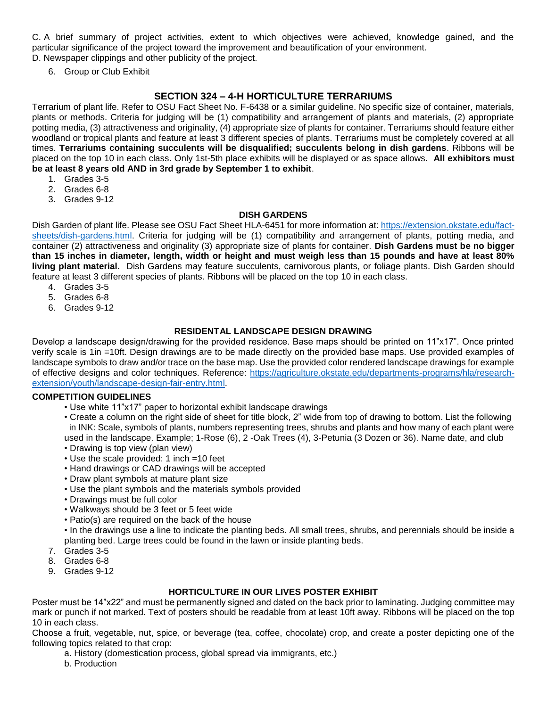C. A brief summary of project activities, extent to which objectives were achieved, knowledge gained, and the particular significance of the project toward the improvement and beautification of your environment. D. Newspaper clippings and other publicity of the project.

6. Group or Club Exhibit

# **SECTION 324 – 4-H HORTICULTURE TERRARIUMS**

Terrarium of plant life. Refer to OSU Fact Sheet No. F-6438 or a similar guideline. No specific size of container, materials, plants or methods. Criteria for judging will be (1) compatibility and arrangement of plants and materials, (2) appropriate potting media, (3) attractiveness and originality, (4) appropriate size of plants for container. Terrariums should feature either woodland or tropical plants and feature at least 3 different species of plants. Terrariums must be completely covered at all times. **Terrariums containing succulents will be disqualified; succulents belong in dish gardens**. Ribbons will be placed on the top 10 in each class. Only 1st-5th place exhibits will be displayed or as space allows. **All exhibitors must be at least 8 years old AND in 3rd grade by September 1 to exhibit**.

- 1. Grades 3-5
- 2. Grades 6-8
- 3. Grades 9-12

#### **DISH GARDENS**

Dish Garden of plant life. Please see OSU Fact Sheet HLA-6451 for more information at[: https://extension.okstate.edu/fact](https://extension.okstate.edu/fact-sheets/dish-gardens.html)[sheets/dish-gardens.html.](https://extension.okstate.edu/fact-sheets/dish-gardens.html) Criteria for judging will be (1) compatibility and arrangement of plants, potting media, and container (2) attractiveness and originality (3) appropriate size of plants for container. **Dish Gardens must be no bigger than 15 inches in diameter, length, width or height and must weigh less than 15 pounds and have at least 80% living plant material.** Dish Gardens may feature succulents, carnivorous plants, or foliage plants. Dish Garden should feature at least 3 different species of plants. Ribbons will be placed on the top 10 in each class.

- 4. Grades 3-5
- 5. Grades 6-8
- 6. Grades 9-12

#### **RESIDENTAL LANDSCAPE DESIGN DRAWING**

Develop a landscape design/drawing for the provided residence. Base maps should be printed on 11"x17". Once printed verify scale is 1in =10ft. Design drawings are to be made directly on the provided base maps. Use provided examples of landscape symbols to draw and/or trace on the base map. Use the provided color rendered landscape drawings for example of effective designs and color techniques. Reference: [https://agriculture.okstate.edu/departments-programs/hla/research](https://agriculture.okstate.edu/departments-programs/hla/research-extension/youth/landscape-design-fair-entry.html)[extension/youth/landscape-design-fair-entry.html.](https://agriculture.okstate.edu/departments-programs/hla/research-extension/youth/landscape-design-fair-entry.html)

#### **COMPETITION GUIDELINES**

- Use white 11"x17" paper to horizontal exhibit landscape drawings
- Create a column on the right side of sheet for title block, 2" wide from top of drawing to bottom. List the following in INK: Scale, symbols of plants, numbers representing trees, shrubs and plants and how many of each plant were used in the landscape. Example; 1-Rose (6), 2 -Oak Trees (4), 3-Petunia (3 Dozen or 36). Name date, and club
- Drawing is top view (plan view)
- Use the scale provided: 1 inch =10 feet
- Hand drawings or CAD drawings will be accepted
- Draw plant symbols at mature plant size
- Use the plant symbols and the materials symbols provided
- Drawings must be full color
- Walkways should be 3 feet or 5 feet wide
- Patio(s) are required on the back of the house

• In the drawings use a line to indicate the planting beds. All small trees, shrubs, and perennials should be inside a planting bed. Large trees could be found in the lawn or inside planting beds.

- 7. Grades 3-5
- 8. Grades 6-8
- 9. Grades 9-12

# **HORTICULTURE IN OUR LIVES POSTER EXHIBIT**

Poster must be 14"x22" and must be permanently signed and dated on the back prior to laminating. Judging committee may mark or punch if not marked. Text of posters should be readable from at least 10ft away. Ribbons will be placed on the top 10 in each class.

Choose a fruit, vegetable, nut, spice, or beverage (tea, coffee, chocolate) crop, and create a poster depicting one of the following topics related to that crop:

- a. History (domestication process, global spread via immigrants, etc.)
- b. Production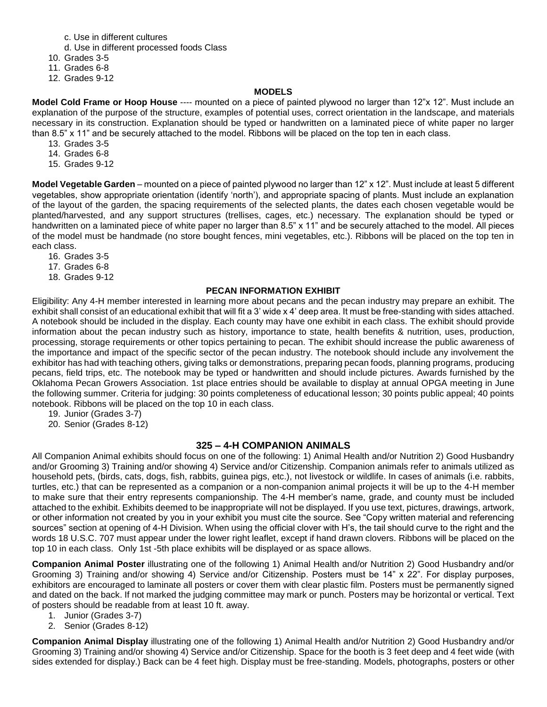- c. Use in different cultures
- d. Use in different processed foods Class
- 10. Grades 3-5
- 11. Grades 6-8
- 12. Grades 9-12

#### **MODELS**

**Model Cold Frame or Hoop House** ---- mounted on a piece of painted plywood no larger than 12"x 12". Must include an explanation of the purpose of the structure, examples of potential uses, correct orientation in the landscape, and materials necessary in its construction. Explanation should be typed or handwritten on a laminated piece of white paper no larger than 8.5" x 11" and be securely attached to the model. Ribbons will be placed on the top ten in each class.

- 13. Grades 3-5
- 14. Grades 6-8
- 15. Grades 9-12

**Model Vegetable Garden** – mounted on a piece of painted plywood no larger than 12" x 12". Must include at least 5 different vegetables, show appropriate orientation (identify 'north'), and appropriate spacing of plants. Must include an explanation of the layout of the garden, the spacing requirements of the selected plants, the dates each chosen vegetable would be planted/harvested, and any support structures (trellises, cages, etc.) necessary. The explanation should be typed or handwritten on a laminated piece of white paper no larger than 8.5" x 11" and be securely attached to the model. All pieces of the model must be handmade (no store bought fences, mini vegetables, etc.). Ribbons will be placed on the top ten in each class.

- 16. Grades 3-5
- 17. Grades 6-8
- 18. Grades 9-12

#### **PECAN INFORMATION EXHIBIT**

Eligibility: Any 4-H member interested in learning more about pecans and the pecan industry may prepare an exhibit. The exhibit shall consist of an educational exhibit that will fit a 3' wide x 4' deep area. It must be free-standing with sides attached. A notebook should be included in the display. Each county may have one exhibit in each class. The exhibit should provide information about the pecan industry such as history, importance to state, health benefits & nutrition, uses, production, processing, storage requirements or other topics pertaining to pecan. The exhibit should increase the public awareness of the importance and impact of the specific sector of the pecan industry. The notebook should include any involvement the exhibitor has had with teaching others, giving talks or demonstrations, preparing pecan foods, planning programs, producing pecans, field trips, etc. The notebook may be typed or handwritten and should include pictures. Awards furnished by the Oklahoma Pecan Growers Association. 1st place entries should be available to display at annual OPGA meeting in June the following summer. Criteria for judging: 30 points completeness of educational lesson; 30 points public appeal; 40 points notebook. Ribbons will be placed on the top 10 in each class.

- 19. Junior (Grades 3-7)
- 20. Senior (Grades 8-12)

# **325 – 4-H COMPANION ANIMALS**

All Companion Animal exhibits should focus on one of the following: 1) Animal Health and/or Nutrition 2) Good Husbandry and/or Grooming 3) Training and/or showing 4) Service and/or Citizenship. Companion animals refer to animals utilized as household pets, (birds, cats, dogs, fish, rabbits, guinea pigs, etc.), not livestock or wildlife. In cases of animals (i.e. rabbits, turtles, etc.) that can be represented as a companion or a non-companion animal projects it will be up to the 4-H member to make sure that their entry represents companionship. The 4-H member's name, grade, and county must be included attached to the exhibit. Exhibits deemed to be inappropriate will not be displayed. If you use text, pictures, drawings, artwork, or other information not created by you in your exhibit you must cite the source. See "Copy written material and referencing sources" section at opening of 4-H Division. When using the official clover with H's, the tail should curve to the right and the words 18 U.S.C. 707 must appear under the lower right leaflet, except if hand drawn clovers. Ribbons will be placed on the top 10 in each class. Only 1st -5th place exhibits will be displayed or as space allows.

**Companion Animal Poster** illustrating one of the following 1) Animal Health and/or Nutrition 2) Good Husbandry and/or Grooming 3) Training and/or showing 4) Service and/or Citizenship. Posters must be 14" x 22". For display purposes, exhibitors are encouraged to laminate all posters or cover them with clear plastic film. Posters must be permanently signed and dated on the back. If not marked the judging committee may mark or punch. Posters may be horizontal or vertical. Text of posters should be readable from at least 10 ft. away.

- 1. Junior (Grades 3-7)
- 2. Senior (Grades 8-12)

**Companion Animal Display** illustrating one of the following 1) Animal Health and/or Nutrition 2) Good Husbandry and/or Grooming 3) Training and/or showing 4) Service and/or Citizenship. Space for the booth is 3 feet deep and 4 feet wide (with sides extended for display.) Back can be 4 feet high. Display must be free-standing. Models, photographs, posters or other